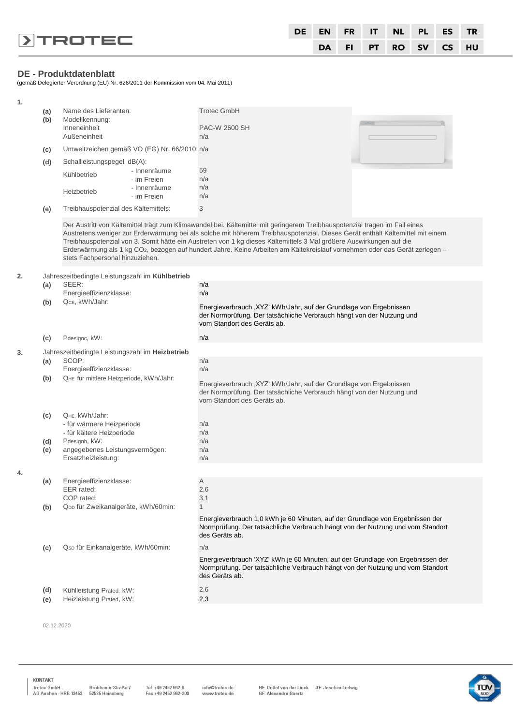|                         |  |  | DE EN FR IT NL PL ES TR |  |
|-------------------------|--|--|-------------------------|--|
| $\triangleright$ TROTEC |  |  | DA FI PT RO SV CS HU    |  |

#### **DE - Produktdatenblatt**

(gemäß Delegierter Verordnung (EU) Nr. 626/2011 der Kommission vom 04. Mai 2011)

| 1. |     |                                                 |                             |                                                                                                                                                                                                                                                             |  |
|----|-----|-------------------------------------------------|-----------------------------|-------------------------------------------------------------------------------------------------------------------------------------------------------------------------------------------------------------------------------------------------------------|--|
|    | (a) | Name des Lieferanten:                           |                             | <b>Trotec GmbH</b>                                                                                                                                                                                                                                          |  |
|    | (b) | Modellkennung:                                  |                             |                                                                                                                                                                                                                                                             |  |
|    |     | Inneneinheit<br>Außeneinheit                    |                             | PAC-W 2600 SH<br>n/a                                                                                                                                                                                                                                        |  |
|    |     |                                                 |                             |                                                                                                                                                                                                                                                             |  |
|    | (c) | Umweltzeichen gemäß VO (EG) Nr. 66/2010: n/a    |                             |                                                                                                                                                                                                                                                             |  |
|    | (d) | Schallleistungspegel, dB(A):                    |                             |                                                                                                                                                                                                                                                             |  |
|    |     | Kühlbetrieb                                     | - Innenräume<br>- im Freien | 59<br>n/a                                                                                                                                                                                                                                                   |  |
|    |     |                                                 | - Innenräume                | n/a                                                                                                                                                                                                                                                         |  |
|    |     | Heizbetrieb                                     | - im Freien                 | n/a                                                                                                                                                                                                                                                         |  |
|    | (e) | Treibhauspotenzial des Kältemittels:            |                             | 3                                                                                                                                                                                                                                                           |  |
|    |     |                                                 |                             |                                                                                                                                                                                                                                                             |  |
|    |     |                                                 |                             | Der Austritt von Kältemittel trägt zum Klimawandel bei. Kältemittel mit geringerem Treibhauspotenzial tragen im Fall eines<br>Austretens weniger zur Erderwärmung bei als solche mit höherem Treibhauspotenzial. Dieses Gerät enthält Kältemittel mit einem |  |
|    |     |                                                 |                             | Treibhauspotenzial von 3. Somit hätte ein Austreten von 1 kg dieses Kältemittels 3 Mal größere Auswirkungen auf die                                                                                                                                         |  |
|    |     |                                                 |                             | Erderwärmung als 1 kg CO <sub>2</sub> , bezogen auf hundert Jahre. Keine Arbeiten am Kältekreislauf vornehmen oder das Gerät zerlegen -                                                                                                                     |  |
|    |     | stets Fachpersonal hinzuziehen.                 |                             |                                                                                                                                                                                                                                                             |  |
| 2. |     | Jahreszeitbedingte Leistungszahl im Kühlbetrieb |                             |                                                                                                                                                                                                                                                             |  |
|    | (a) | SEER:                                           |                             | n/a                                                                                                                                                                                                                                                         |  |
|    |     | Energieeffizienzklasse:                         |                             | n/a                                                                                                                                                                                                                                                         |  |
|    | (b) | QcE, kWh/Jahr:                                  |                             | Energieverbrauch, XYZ' kWh/Jahr, auf der Grundlage von Ergebnissen                                                                                                                                                                                          |  |
|    |     |                                                 |                             | der Normprüfung. Der tatsächliche Verbrauch hängt von der Nutzung und                                                                                                                                                                                       |  |
|    |     |                                                 |                             | vom Standort des Geräts ab.                                                                                                                                                                                                                                 |  |
|    | (c) | Pdesignc, kW:                                   |                             | n/a                                                                                                                                                                                                                                                         |  |
| 3. |     | Jahreszeitbedingte Leistungszahl im Heizbetrieb |                             |                                                                                                                                                                                                                                                             |  |
|    | (a) | SCOP:                                           |                             | n/a                                                                                                                                                                                                                                                         |  |
|    |     | Energieeffizienzklasse:                         |                             | n/a                                                                                                                                                                                                                                                         |  |
|    | (b) | QHE für mittlere Heizperiode, kWh/Jahr:         |                             | Energieverbrauch, XYZ' kWh/Jahr, auf der Grundlage von Ergebnissen                                                                                                                                                                                          |  |
|    |     |                                                 |                             | der Normprüfung. Der tatsächliche Verbrauch hängt von der Nutzung und                                                                                                                                                                                       |  |
|    |     |                                                 |                             | vom Standort des Geräts ab.                                                                                                                                                                                                                                 |  |
|    | (c) | QHE, kWh/Jahr:                                  |                             |                                                                                                                                                                                                                                                             |  |
|    |     | - für wärmere Heizperiode                       |                             | n/a                                                                                                                                                                                                                                                         |  |
|    |     | - für kältere Heizperiode                       |                             | n/a                                                                                                                                                                                                                                                         |  |
|    | (d) | Pdesignh, kW:<br>angegebenes Leistungsvermögen: |                             | n/a<br>n/a                                                                                                                                                                                                                                                  |  |
|    | (e) | Ersatzheizleistung:                             |                             | n/a                                                                                                                                                                                                                                                         |  |
|    |     |                                                 |                             |                                                                                                                                                                                                                                                             |  |
| 4. | (a) | Energieeffizienzklasse:                         |                             | Α                                                                                                                                                                                                                                                           |  |
|    |     | EER rated:                                      |                             | 2,6                                                                                                                                                                                                                                                         |  |
|    |     | COP rated:                                      |                             | 3,1                                                                                                                                                                                                                                                         |  |
|    | (b) | Q <sub>DD</sub> für Zweikanalgeräte, kWh/60min: |                             | 1                                                                                                                                                                                                                                                           |  |
|    |     |                                                 |                             | Energieverbrauch 1,0 kWh je 60 Minuten, auf der Grundlage von Ergebnissen der                                                                                                                                                                               |  |
|    |     |                                                 |                             | Normprüfung. Der tatsächliche Verbrauch hängt von der Nutzung und vom Standort<br>des Geräts ab.                                                                                                                                                            |  |
|    |     |                                                 |                             | n/a                                                                                                                                                                                                                                                         |  |
|    | (c) | Qsp für Einkanalgeräte, kWh/60min:              |                             |                                                                                                                                                                                                                                                             |  |
|    |     |                                                 |                             | Energieverbrauch 'XYZ' kWh je 60 Minuten, auf der Grundlage von Ergebnissen der<br>Normprüfung. Der tatsächliche Verbrauch hängt von der Nutzung und vom Standort                                                                                           |  |
|    |     |                                                 |                             | des Geräts ab.                                                                                                                                                                                                                                              |  |
|    | (d) | Kühlleistung Prated, kW:                        |                             | 2,6                                                                                                                                                                                                                                                         |  |
|    | (e) | Heizleistung Prated, kW:                        |                             | 2,3                                                                                                                                                                                                                                                         |  |
|    |     |                                                 |                             |                                                                                                                                                                                                                                                             |  |

02.12.2020

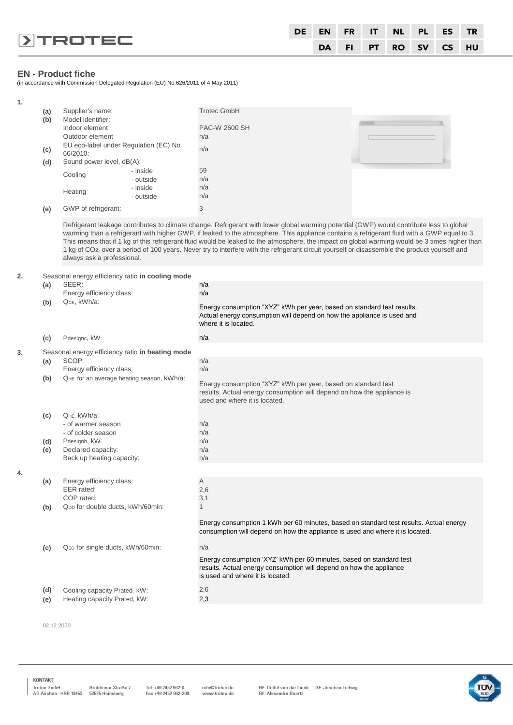|                         | DE |  |  | EN FR IT NL PL ES TR |  |
|-------------------------|----|--|--|----------------------|--|
| $\triangleright$ TROTEC |    |  |  | DA FI PT RO SV CS HU |  |

# **EN - Product fiche**

(in accordance with Commission Delegated Regulation (EU) No 626/2011 of 4 May 2011)

| 1. |     |                                                  |           |                                                                                                                                                                                                                                                                                                                                                                                                                                           |  |
|----|-----|--------------------------------------------------|-----------|-------------------------------------------------------------------------------------------------------------------------------------------------------------------------------------------------------------------------------------------------------------------------------------------------------------------------------------------------------------------------------------------------------------------------------------------|--|
|    | (a) | Supplier's name:                                 |           | <b>Trotec GmbH</b>                                                                                                                                                                                                                                                                                                                                                                                                                        |  |
|    | (b) | Model identifier:                                |           |                                                                                                                                                                                                                                                                                                                                                                                                                                           |  |
|    |     | Indoor element                                   |           | PAC-W 2600 SH                                                                                                                                                                                                                                                                                                                                                                                                                             |  |
|    |     | Outdoor element                                  |           | n/a                                                                                                                                                                                                                                                                                                                                                                                                                                       |  |
|    | (c) | EU eco-label under Regulation (EC) No            |           | n/a                                                                                                                                                                                                                                                                                                                                                                                                                                       |  |
|    |     | 66/2010:<br>Sound power level, dB(A):            |           |                                                                                                                                                                                                                                                                                                                                                                                                                                           |  |
|    | (d) |                                                  | - inside  | 59                                                                                                                                                                                                                                                                                                                                                                                                                                        |  |
|    |     | Cooling                                          | - outside | n/a                                                                                                                                                                                                                                                                                                                                                                                                                                       |  |
|    |     |                                                  | - inside  | n/a                                                                                                                                                                                                                                                                                                                                                                                                                                       |  |
|    |     | Heating                                          | - outside | n/a                                                                                                                                                                                                                                                                                                                                                                                                                                       |  |
|    |     | GWP of refrigerant:                              |           | 3                                                                                                                                                                                                                                                                                                                                                                                                                                         |  |
|    | (e) |                                                  |           |                                                                                                                                                                                                                                                                                                                                                                                                                                           |  |
|    |     |                                                  |           | Refrigerant leakage contributes to climate change. Refrigerant with lower global warming potential (GWP) would contribute less to global<br>warming than a refrigerant with higher GWP, if leaked to the atmosphere. This appliance contains a refrigerant fluid with a GWP equal to 3.<br>This means that if 1 kg of this refrigerant fluid would be leaked to the atmosphere, the impact on global warming would be 3 times higher than |  |
|    |     | always ask a professional.                       |           | 1 kg of CO <sub>2</sub> , over a period of 100 years. Never try to interfere with the refrigerant circuit yourself or disassemble the product yourself and                                                                                                                                                                                                                                                                                |  |
| 2. |     | Seasonal energy efficiency ratio in cooling mode |           |                                                                                                                                                                                                                                                                                                                                                                                                                                           |  |
|    | (a) | SEER:                                            |           | n/a                                                                                                                                                                                                                                                                                                                                                                                                                                       |  |
|    |     | Energy efficiency class:                         |           | n/a                                                                                                                                                                                                                                                                                                                                                                                                                                       |  |
|    | (b) | QcE, kWh/a:                                      |           | Energy consumption "XYZ" kWh per year, based on standard test results.                                                                                                                                                                                                                                                                                                                                                                    |  |
|    |     |                                                  |           | Actual energy consumption will depend on how the appliance is used and<br>where it is located.                                                                                                                                                                                                                                                                                                                                            |  |
|    | (c) | Pdesignc, kW:                                    |           | n/a                                                                                                                                                                                                                                                                                                                                                                                                                                       |  |
| 3. |     | Seasonal energy efficiency ratio in heating mode |           |                                                                                                                                                                                                                                                                                                                                                                                                                                           |  |
|    | (a) | SCOP:                                            |           | n/a                                                                                                                                                                                                                                                                                                                                                                                                                                       |  |
|    |     | Energy efficiency class:                         |           | n/a                                                                                                                                                                                                                                                                                                                                                                                                                                       |  |
|    | (b) | QHE for an average heating season, kWh/a:        |           |                                                                                                                                                                                                                                                                                                                                                                                                                                           |  |
|    |     |                                                  |           | Energy consumption "XYZ" kWh per year, based on standard test<br>results. Actual energy consumption will depend on how the appliance is<br>used and where it is located.                                                                                                                                                                                                                                                                  |  |
|    | (c) | QHE, kWh/a:                                      |           |                                                                                                                                                                                                                                                                                                                                                                                                                                           |  |
|    |     | - of warmer season                               |           | n/a                                                                                                                                                                                                                                                                                                                                                                                                                                       |  |
|    |     | - of colder season                               |           | n/a                                                                                                                                                                                                                                                                                                                                                                                                                                       |  |
|    | (d) | Pdesignh, kW:                                    |           | n/a                                                                                                                                                                                                                                                                                                                                                                                                                                       |  |
|    | (e) | Declared capacity:                               |           | n/a                                                                                                                                                                                                                                                                                                                                                                                                                                       |  |
|    |     | Back up heating capacity:                        |           | n/a                                                                                                                                                                                                                                                                                                                                                                                                                                       |  |
| 4. |     |                                                  |           |                                                                                                                                                                                                                                                                                                                                                                                                                                           |  |
|    | (a) | Energy efficiency class:                         |           | A                                                                                                                                                                                                                                                                                                                                                                                                                                         |  |
|    |     | EER rated:                                       |           | 2,6                                                                                                                                                                                                                                                                                                                                                                                                                                       |  |
|    |     | COP rated:                                       |           | 3,1                                                                                                                                                                                                                                                                                                                                                                                                                                       |  |
|    | (b) | Q <sub>DD</sub> for double ducts, kWh/60min:     |           | 1                                                                                                                                                                                                                                                                                                                                                                                                                                         |  |
|    |     |                                                  |           | Energy consumption 1 kWh per 60 minutes, based on standard test results. Actual energy<br>consumption will depend on how the appliance is used and where it is located.                                                                                                                                                                                                                                                                   |  |
|    | (c) | Qsp for single ducts, kWh/60min:                 |           | n/a                                                                                                                                                                                                                                                                                                                                                                                                                                       |  |
|    |     |                                                  |           | Energy consumption 'XYZ' kWh per 60 minutes, based on standard test<br>results. Actual energy consumption will depend on how the appliance<br>is used and where it is located.                                                                                                                                                                                                                                                            |  |
|    | (d) | Cooling capacity Prated, kW:                     |           | 2,6                                                                                                                                                                                                                                                                                                                                                                                                                                       |  |
|    | (e) | Heating capacity Prated, kW:                     |           | 2,3                                                                                                                                                                                                                                                                                                                                                                                                                                       |  |
|    |     |                                                  |           |                                                                                                                                                                                                                                                                                                                                                                                                                                           |  |
|    |     |                                                  |           |                                                                                                                                                                                                                                                                                                                                                                                                                                           |  |

02.12.2020

KONTAKT

Tel. +49 2452 962-0<br>Fax +49 2452 962-200

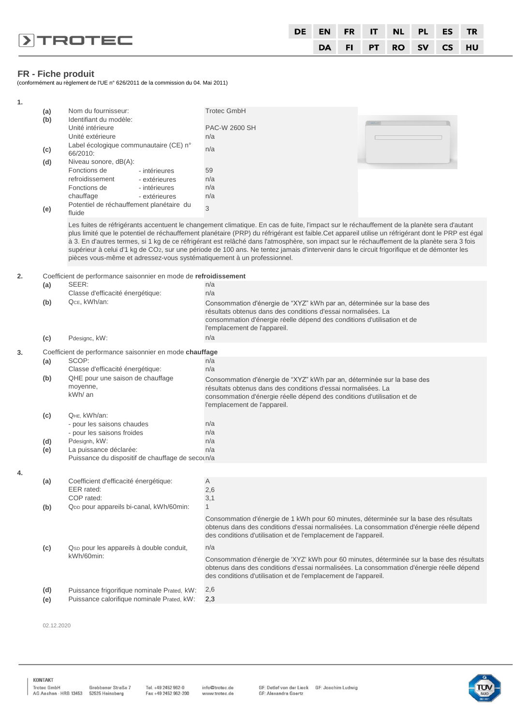|                         | DE EN FR IT NL PL ES TR |  |                      |  |
|-------------------------|-------------------------|--|----------------------|--|
| $\triangleright$ TROTEC |                         |  | DA FI PT RO SV CS HU |  |

# **FR - Fiche produit**

(conformément au règlement de l'UE n° 626/2011 de la commission du 04. Mai 2011)

| 1. |     |                                                                        |                                                                                                                                                                                                                                                                                           |
|----|-----|------------------------------------------------------------------------|-------------------------------------------------------------------------------------------------------------------------------------------------------------------------------------------------------------------------------------------------------------------------------------------|
|    | (a) | Nom du fournisseur:                                                    | <b>Trotec GmbH</b>                                                                                                                                                                                                                                                                        |
|    | (b) | Identifiant du modèle:                                                 |                                                                                                                                                                                                                                                                                           |
|    |     | Unité intérieure                                                       | PAC-W 2600 SH                                                                                                                                                                                                                                                                             |
|    |     | Unité extérieure<br>Label écologique communautaire (CE) n°             | n/a                                                                                                                                                                                                                                                                                       |
|    | (c) | 66/2010:                                                               | n/a                                                                                                                                                                                                                                                                                       |
|    | (d) | Niveau sonore, dB(A):                                                  |                                                                                                                                                                                                                                                                                           |
|    |     | Fonctions de<br>- intérieures                                          | 59                                                                                                                                                                                                                                                                                        |
|    |     | refroidissement<br>- extérieures                                       | n/a<br>n/a                                                                                                                                                                                                                                                                                |
|    |     | Fonctions de<br>- intérieures<br>chauffage<br>- extérieures            | n/a                                                                                                                                                                                                                                                                                       |
|    |     | Potentiel de réchauffement planétaire du                               | 3                                                                                                                                                                                                                                                                                         |
|    | (e) | fluide                                                                 |                                                                                                                                                                                                                                                                                           |
|    |     |                                                                        | Les fuites de réfrigérants accentuent le changement climatique. En cas de fuite, l'impact sur le réchauffement de la planète sera d'autant                                                                                                                                                |
|    |     |                                                                        | plus limité que le potentiel de réchauffement planétaire (PRP) du réfrigérant est faible.Cet appareil utilise un réfrigérant dont le PRP est égal                                                                                                                                         |
|    |     |                                                                        | à 3. En d'autres termes, si 1 kg de ce réfrigérant est relâché dans l'atmosphère, son impact sur le réchauffement de la planète sera 3 fois<br>supérieur à celui d'1 kg de CO2, sur une période de 100 ans. Ne tentez jamais d'intervenir dans le circuit frigorifique et de démonter les |
|    |     | pièces vous-même et adressez-vous systématiquement à un professionnel. |                                                                                                                                                                                                                                                                                           |
|    |     |                                                                        |                                                                                                                                                                                                                                                                                           |
| 2. |     | Coefficient de performance saisonnier en mode de refroidissement       |                                                                                                                                                                                                                                                                                           |
|    | (a) | SEER:<br>Classe d'efficacité énergétique:                              | n/a<br>n/a                                                                                                                                                                                                                                                                                |
|    | (b) | QcE, kWh/an:                                                           | Consommation d'énergie de "XYZ" kWh par an, déterminée sur la base des                                                                                                                                                                                                                    |
|    |     |                                                                        | résultats obtenus dans des conditions d'essai normalisées. La                                                                                                                                                                                                                             |
|    |     |                                                                        | consommation d'énergie réelle dépend des conditions d'utilisation et de                                                                                                                                                                                                                   |
|    |     |                                                                        | l'emplacement de l'appareil.                                                                                                                                                                                                                                                              |
|    | (c) | Pdesignc, kW:                                                          | n/a                                                                                                                                                                                                                                                                                       |
| 3. |     | Coefficient de performance saisonnier en mode chauffage                |                                                                                                                                                                                                                                                                                           |
|    | (a) | SCOP:                                                                  | n/a                                                                                                                                                                                                                                                                                       |
|    | (b) | Classe d'efficacité énergétique:<br>QHE pour une saison de chauffage   | n/a                                                                                                                                                                                                                                                                                       |
|    |     | moyenne,                                                               | Consommation d'énergie de "XYZ" kWh par an, déterminée sur la base des<br>résultats obtenus dans des conditions d'essai normalisées. La                                                                                                                                                   |
|    |     | kWh/ an                                                                | consommation d'énergie réelle dépend des conditions d'utilisation et de                                                                                                                                                                                                                   |
|    |     |                                                                        | l'emplacement de l'appareil.                                                                                                                                                                                                                                                              |
|    | (c) | QHE, kWh/an:                                                           |                                                                                                                                                                                                                                                                                           |
|    |     | - pour les saisons chaudes                                             | n/a                                                                                                                                                                                                                                                                                       |
|    | (d) | - pour les saisons froides<br>Pdesignh, kW:                            | n/a<br>n/a                                                                                                                                                                                                                                                                                |
|    | (e) | La puissance déclarée:                                                 | n/a                                                                                                                                                                                                                                                                                       |
|    |     | Puissance du dispositif de chauffage de secoun/a                       |                                                                                                                                                                                                                                                                                           |
| 4. |     |                                                                        |                                                                                                                                                                                                                                                                                           |
|    | (a) | Coefficient d'efficacité énergétique:                                  | Α                                                                                                                                                                                                                                                                                         |
|    |     | EER rated:                                                             | 2,6                                                                                                                                                                                                                                                                                       |
|    |     | COP rated:<br>QDD pour appareils bi-canal, kWh/60min:                  | 3,1<br>$\mathbf{1}$                                                                                                                                                                                                                                                                       |
|    | (b) |                                                                        |                                                                                                                                                                                                                                                                                           |
|    |     |                                                                        | Consommation d'énergie de 1 kWh pour 60 minutes, déterminée sur la base des résultats<br>obtenus dans des conditions d'essai normalisées. La consommation d'énergie réelle dépend                                                                                                         |
|    |     |                                                                        | des conditions d'utilisation et de l'emplacement de l'appareil.                                                                                                                                                                                                                           |
|    | (c) | Qsp pour les appareils à double conduit,                               | n/a                                                                                                                                                                                                                                                                                       |
|    |     | kWh/60min:                                                             | Consommation d'énergie de 'XYZ' kWh pour 60 minutes, déterminée sur la base des résultats                                                                                                                                                                                                 |
|    |     |                                                                        | obtenus dans des conditions d'essai normalisées. La consommation d'énergie réelle dépend                                                                                                                                                                                                  |
|    |     |                                                                        | des conditions d'utilisation et de l'emplacement de l'appareil.                                                                                                                                                                                                                           |
|    | (d) | Puissance frigorifique nominale Prated, kW:                            | 2,6                                                                                                                                                                                                                                                                                       |
|    | (e) | Puissance calorifique nominale Prated, kW:                             | 2,3                                                                                                                                                                                                                                                                                       |
|    |     |                                                                        |                                                                                                                                                                                                                                                                                           |

02.12.2020

KONTAKT

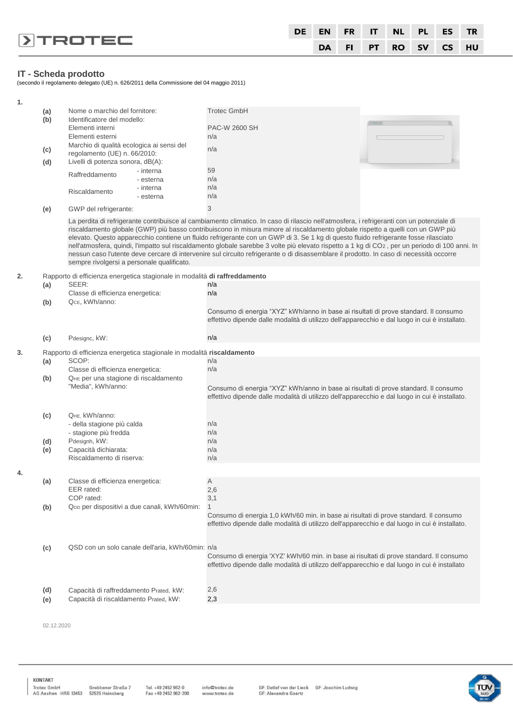|                   | DE EN FR IT NL PL ES TR |  |  |                      |  |
|-------------------|-------------------------|--|--|----------------------|--|
| $\sqrt{ }$ TROTEC |                         |  |  | DA FI PT RO SV CS HU |  |

# **IT - Scheda prodotto**

(secondo il regolamento delegato (UE) n. 626/2011 della Commissione del 04 maggio 2011)

| 1. |                                              |                                                                            |                                                                                                                                                                                                                                                                                                                                                                                                                                                                                                                                                                                                                                                                                                                  |                                                                                                                                                                                        |  |  |  |  |  |
|----|----------------------------------------------|----------------------------------------------------------------------------|------------------------------------------------------------------------------------------------------------------------------------------------------------------------------------------------------------------------------------------------------------------------------------------------------------------------------------------------------------------------------------------------------------------------------------------------------------------------------------------------------------------------------------------------------------------------------------------------------------------------------------------------------------------------------------------------------------------|----------------------------------------------------------------------------------------------------------------------------------------------------------------------------------------|--|--|--|--|--|
|    | (a)                                          | Nome o marchio del fornitore:                                              |                                                                                                                                                                                                                                                                                                                                                                                                                                                                                                                                                                                                                                                                                                                  | <b>Trotec GmbH</b>                                                                                                                                                                     |  |  |  |  |  |
|    | (b)                                          | Identificatore del modello:                                                |                                                                                                                                                                                                                                                                                                                                                                                                                                                                                                                                                                                                                                                                                                                  |                                                                                                                                                                                        |  |  |  |  |  |
|    |                                              | Elementi interni                                                           |                                                                                                                                                                                                                                                                                                                                                                                                                                                                                                                                                                                                                                                                                                                  | PAC-W 2600 SH                                                                                                                                                                          |  |  |  |  |  |
|    |                                              | Elementi esterni                                                           |                                                                                                                                                                                                                                                                                                                                                                                                                                                                                                                                                                                                                                                                                                                  | n/a                                                                                                                                                                                    |  |  |  |  |  |
|    | (c)                                          | Marchio di qualità ecologica ai sensi del                                  |                                                                                                                                                                                                                                                                                                                                                                                                                                                                                                                                                                                                                                                                                                                  | n/a                                                                                                                                                                                    |  |  |  |  |  |
|    | regolamento (UE) n. 66/2010:                 |                                                                            |                                                                                                                                                                                                                                                                                                                                                                                                                                                                                                                                                                                                                                                                                                                  |                                                                                                                                                                                        |  |  |  |  |  |
|    | (d)                                          | Livelli di potenza sonora, dB(A):                                          |                                                                                                                                                                                                                                                                                                                                                                                                                                                                                                                                                                                                                                                                                                                  |                                                                                                                                                                                        |  |  |  |  |  |
|    |                                              | Raffreddamento                                                             | - interna                                                                                                                                                                                                                                                                                                                                                                                                                                                                                                                                                                                                                                                                                                        | 59                                                                                                                                                                                     |  |  |  |  |  |
|    |                                              |                                                                            | - esterna                                                                                                                                                                                                                                                                                                                                                                                                                                                                                                                                                                                                                                                                                                        | n/a                                                                                                                                                                                    |  |  |  |  |  |
|    |                                              | Riscaldamento                                                              | - interna                                                                                                                                                                                                                                                                                                                                                                                                                                                                                                                                                                                                                                                                                                        | n/a<br>n/a                                                                                                                                                                             |  |  |  |  |  |
|    |                                              |                                                                            | - esterna                                                                                                                                                                                                                                                                                                                                                                                                                                                                                                                                                                                                                                                                                                        |                                                                                                                                                                                        |  |  |  |  |  |
|    | (e)                                          | GWP del refrigerante:                                                      |                                                                                                                                                                                                                                                                                                                                                                                                                                                                                                                                                                                                                                                                                                                  | 3                                                                                                                                                                                      |  |  |  |  |  |
|    |                                              | sempre rivolgersi a personale qualificato.                                 | La perdita di refrigerante contribuisce al cambiamento climatico. In caso di rilascio nell'atmosfera, i refrigeranti con un potenziale di<br>riscaldamento globale (GWP) più basso contribuiscono in misura minore al riscaldamento globale rispetto a quelli con un GWP più<br>elevato. Questo apparecchio contiene un fluido refrigerante con un GWP di 3. Se 1 kg di questo fluido refrigerante fosse rilasciato<br>nell'atmosfera, quindi, l'impatto sul riscaldamento globale sarebbe 3 volte più elevato rispetto a 1 kg di CO2, per un periodo di 100 anni. In<br>nessun caso l'utente deve cercare di intervenire sul circuito refrigerante o di disassemblare il prodotto. In caso di necessità occorre |                                                                                                                                                                                        |  |  |  |  |  |
| 2. |                                              | Rapporto di efficienza energetica stagionale in modalità di raffreddamento |                                                                                                                                                                                                                                                                                                                                                                                                                                                                                                                                                                                                                                                                                                                  |                                                                                                                                                                                        |  |  |  |  |  |
|    | (a)                                          | SEER:                                                                      |                                                                                                                                                                                                                                                                                                                                                                                                                                                                                                                                                                                                                                                                                                                  | n/a                                                                                                                                                                                    |  |  |  |  |  |
|    |                                              | Classe di efficienza energetica:                                           |                                                                                                                                                                                                                                                                                                                                                                                                                                                                                                                                                                                                                                                                                                                  | n/a                                                                                                                                                                                    |  |  |  |  |  |
|    | (b)                                          | QcE, kWh/anno:                                                             |                                                                                                                                                                                                                                                                                                                                                                                                                                                                                                                                                                                                                                                                                                                  |                                                                                                                                                                                        |  |  |  |  |  |
|    |                                              |                                                                            |                                                                                                                                                                                                                                                                                                                                                                                                                                                                                                                                                                                                                                                                                                                  | Consumo di energia "XYZ" kWh/anno in base ai risultati di prove standard. Il consumo<br>effettivo dipende dalle modalità di utilizzo dell'apparecchio e dal luogo in cui è installato. |  |  |  |  |  |
|    | (c)                                          | Pdesignc, kW:                                                              |                                                                                                                                                                                                                                                                                                                                                                                                                                                                                                                                                                                                                                                                                                                  | n/a                                                                                                                                                                                    |  |  |  |  |  |
| 3. |                                              | Rapporto di efficienza energetica stagionale in modalità riscaldamento     |                                                                                                                                                                                                                                                                                                                                                                                                                                                                                                                                                                                                                                                                                                                  |                                                                                                                                                                                        |  |  |  |  |  |
|    | (a)                                          | SCOP:                                                                      |                                                                                                                                                                                                                                                                                                                                                                                                                                                                                                                                                                                                                                                                                                                  | n/a                                                                                                                                                                                    |  |  |  |  |  |
|    |                                              | Classe di efficienza energetica:                                           |                                                                                                                                                                                                                                                                                                                                                                                                                                                                                                                                                                                                                                                                                                                  | n/a                                                                                                                                                                                    |  |  |  |  |  |
|    | (b)                                          | QHE per una stagione di riscaldamento                                      |                                                                                                                                                                                                                                                                                                                                                                                                                                                                                                                                                                                                                                                                                                                  |                                                                                                                                                                                        |  |  |  |  |  |
|    |                                              | "Media", kWh/anno:                                                         |                                                                                                                                                                                                                                                                                                                                                                                                                                                                                                                                                                                                                                                                                                                  | Consumo di energia "XYZ" kWh/anno in base ai risultati di prove standard. Il consumo<br>effettivo dipende dalle modalità di utilizzo dell'apparecchio e dal luogo in cui è installato. |  |  |  |  |  |
|    | (c)                                          | QHE, kWh/anno:                                                             |                                                                                                                                                                                                                                                                                                                                                                                                                                                                                                                                                                                                                                                                                                                  |                                                                                                                                                                                        |  |  |  |  |  |
|    |                                              | - della stagione più calda                                                 |                                                                                                                                                                                                                                                                                                                                                                                                                                                                                                                                                                                                                                                                                                                  | n/a                                                                                                                                                                                    |  |  |  |  |  |
|    |                                              | - stagione più fredda                                                      |                                                                                                                                                                                                                                                                                                                                                                                                                                                                                                                                                                                                                                                                                                                  | n/a                                                                                                                                                                                    |  |  |  |  |  |
|    | (d)                                          | Pdesignh, kW:                                                              |                                                                                                                                                                                                                                                                                                                                                                                                                                                                                                                                                                                                                                                                                                                  | n/a                                                                                                                                                                                    |  |  |  |  |  |
|    | (e)                                          | Capacità dichiarata:                                                       |                                                                                                                                                                                                                                                                                                                                                                                                                                                                                                                                                                                                                                                                                                                  | n/a                                                                                                                                                                                    |  |  |  |  |  |
|    |                                              | Riscaldamento di riserva:                                                  |                                                                                                                                                                                                                                                                                                                                                                                                                                                                                                                                                                                                                                                                                                                  | n/a                                                                                                                                                                                    |  |  |  |  |  |
| 4. |                                              |                                                                            |                                                                                                                                                                                                                                                                                                                                                                                                                                                                                                                                                                                                                                                                                                                  |                                                                                                                                                                                        |  |  |  |  |  |
|    | (a)                                          | Classe di efficienza energetica:                                           |                                                                                                                                                                                                                                                                                                                                                                                                                                                                                                                                                                                                                                                                                                                  | Α                                                                                                                                                                                      |  |  |  |  |  |
|    |                                              | EER rated:                                                                 |                                                                                                                                                                                                                                                                                                                                                                                                                                                                                                                                                                                                                                                                                                                  | 2,6                                                                                                                                                                                    |  |  |  |  |  |
|    |                                              | COP rated:                                                                 |                                                                                                                                                                                                                                                                                                                                                                                                                                                                                                                                                                                                                                                                                                                  | 3,1                                                                                                                                                                                    |  |  |  |  |  |
|    | (b)                                          | QDD per dispositivi a due canali, kWh/60min:                               |                                                                                                                                                                                                                                                                                                                                                                                                                                                                                                                                                                                                                                                                                                                  | $\mathbf{1}$                                                                                                                                                                           |  |  |  |  |  |
|    |                                              |                                                                            |                                                                                                                                                                                                                                                                                                                                                                                                                                                                                                                                                                                                                                                                                                                  | Consumo di energia 1,0 kWh/60 min. in base ai risultati di prove standard. Il consumo                                                                                                  |  |  |  |  |  |
|    |                                              |                                                                            |                                                                                                                                                                                                                                                                                                                                                                                                                                                                                                                                                                                                                                                                                                                  | effettivo dipende dalle modalità di utilizzo dell'apparecchio e dal luogo in cui è installato.                                                                                         |  |  |  |  |  |
|    |                                              |                                                                            |                                                                                                                                                                                                                                                                                                                                                                                                                                                                                                                                                                                                                                                                                                                  |                                                                                                                                                                                        |  |  |  |  |  |
|    | (c)                                          |                                                                            | QSD con un solo canale dell'aria, kWh/60min: n/a                                                                                                                                                                                                                                                                                                                                                                                                                                                                                                                                                                                                                                                                 |                                                                                                                                                                                        |  |  |  |  |  |
|    |                                              |                                                                            |                                                                                                                                                                                                                                                                                                                                                                                                                                                                                                                                                                                                                                                                                                                  | Consumo di energia 'XYZ' kWh/60 min. in base ai risultati di prove standard. Il consumo                                                                                                |  |  |  |  |  |
|    |                                              |                                                                            |                                                                                                                                                                                                                                                                                                                                                                                                                                                                                                                                                                                                                                                                                                                  | effettivo dipende dalle modalità di utilizzo dell'apparecchio e dal luogo in cui è installato                                                                                          |  |  |  |  |  |
|    |                                              |                                                                            |                                                                                                                                                                                                                                                                                                                                                                                                                                                                                                                                                                                                                                                                                                                  |                                                                                                                                                                                        |  |  |  |  |  |
|    |                                              |                                                                            |                                                                                                                                                                                                                                                                                                                                                                                                                                                                                                                                                                                                                                                                                                                  |                                                                                                                                                                                        |  |  |  |  |  |
|    | (d)                                          | Capacità di raffreddamento Prated, kW:                                     |                                                                                                                                                                                                                                                                                                                                                                                                                                                                                                                                                                                                                                                                                                                  | 2,6                                                                                                                                                                                    |  |  |  |  |  |
|    | Capacità di riscaldamento Prated, kW:<br>(e) |                                                                            |                                                                                                                                                                                                                                                                                                                                                                                                                                                                                                                                                                                                                                                                                                                  | 2,3                                                                                                                                                                                    |  |  |  |  |  |
|    |                                              |                                                                            |                                                                                                                                                                                                                                                                                                                                                                                                                                                                                                                                                                                                                                                                                                                  |                                                                                                                                                                                        |  |  |  |  |  |

02.12.2020

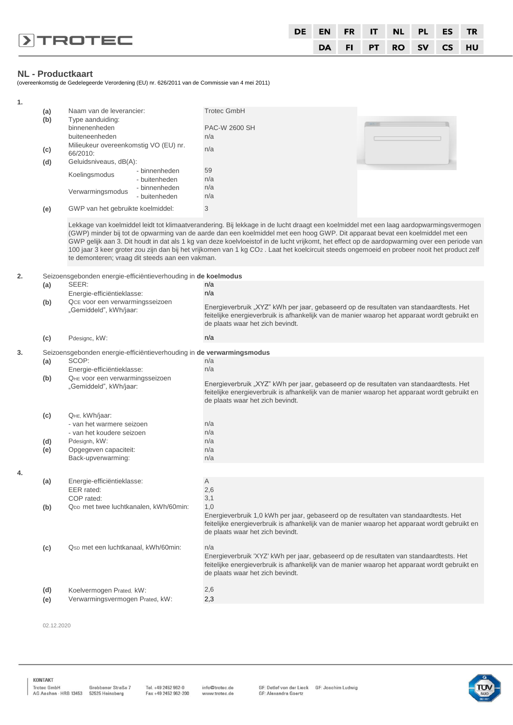|                         |  |  |  | DE EN FR IT NL PL ES TR |  |
|-------------------------|--|--|--|-------------------------|--|
| $\triangleright$ TROTEC |  |  |  | DA FI PT RO SV CS HU    |  |

#### **NL - Productkaart**

(overeenkomstig de Gedelegeerde Verordening (EU) nr. 626/2011 van de Commissie van 4 mei 2011)

| 1. |            |                                                                       |                                                                                                                                                                                                                                                                                                                                                                                                                                                                                                                                                                         |
|----|------------|-----------------------------------------------------------------------|-------------------------------------------------------------------------------------------------------------------------------------------------------------------------------------------------------------------------------------------------------------------------------------------------------------------------------------------------------------------------------------------------------------------------------------------------------------------------------------------------------------------------------------------------------------------------|
|    | (a)<br>(b) | Naam van de leverancier:<br>Type aanduiding:<br>binnenenheden         | <b>Trotec GmbH</b><br><b>PAC-W 2600 SH</b>                                                                                                                                                                                                                                                                                                                                                                                                                                                                                                                              |
|    |            | buiteneenheden                                                        | n/a                                                                                                                                                                                                                                                                                                                                                                                                                                                                                                                                                                     |
|    |            | Milieukeur overeenkomstig VO (EU) nr.                                 | n/a                                                                                                                                                                                                                                                                                                                                                                                                                                                                                                                                                                     |
|    | (c)<br>(d) | 66/2010:<br>Geluidsniveaus, dB(A):                                    |                                                                                                                                                                                                                                                                                                                                                                                                                                                                                                                                                                         |
|    |            | - binnenheden<br>Koelingsmodus<br>- buitenheden                       | 59<br>n/a                                                                                                                                                                                                                                                                                                                                                                                                                                                                                                                                                               |
|    |            | - binnenheden<br>Verwarmingsmodus<br>- buitenheden                    | n/a<br>n/a                                                                                                                                                                                                                                                                                                                                                                                                                                                                                                                                                              |
|    | (e)        | GWP van het gebruikte koelmiddel:                                     | 3                                                                                                                                                                                                                                                                                                                                                                                                                                                                                                                                                                       |
|    |            | te demonteren; vraag dit steeds aan een vakman.                       | Lekkage van koelmiddel leidt tot klimaatverandering. Bij lekkage in de lucht draagt een koelmiddel met een laag aardopwarmingsvermogen<br>(GWP) minder bij tot de opwarming van de aarde dan een koelmiddel met een hoog GWP. Dit apparaat bevat een koelmiddel met een<br>GWP gelijk aan 3. Dit houdt in dat als 1 kg van deze koelvloeistof in de lucht vrijkomt, het effect op de aardopwarming over een periode van<br>100 jaar 3 keer groter zou zijn dan bij het vrijkomen van 1 kg CO2 . Laat het koelcircuit steeds ongemoeid en probeer nooit het product zelf |
| 2. |            | Seizoensgebonden energie-efficiëntieverhouding in de koelmodus        |                                                                                                                                                                                                                                                                                                                                                                                                                                                                                                                                                                         |
|    | (a)        | SEER:                                                                 | n/a                                                                                                                                                                                                                                                                                                                                                                                                                                                                                                                                                                     |
|    |            | Energie-efficiëntieklasse:                                            | n/a                                                                                                                                                                                                                                                                                                                                                                                                                                                                                                                                                                     |
|    | (b)        | QcE voor een verwarmingsseizoen                                       | Energieverbruik "XYZ" kWh per jaar, gebaseerd op de resultaten van standaardtests. Het                                                                                                                                                                                                                                                                                                                                                                                                                                                                                  |
|    |            | "Gemiddeld", kWh/jaar:                                                | feitelijke energieverbruik is afhankelijk van de manier waarop het apparaat wordt gebruikt en<br>de plaats waar het zich bevindt.                                                                                                                                                                                                                                                                                                                                                                                                                                       |
|    | (c)        | Pdesignc, kW:                                                         | n/a                                                                                                                                                                                                                                                                                                                                                                                                                                                                                                                                                                     |
| 3. |            | Seizoensgebonden energie-efficiëntieverhouding in de verwarmingsmodus |                                                                                                                                                                                                                                                                                                                                                                                                                                                                                                                                                                         |
|    | (a)        | SCOP:                                                                 | n/a                                                                                                                                                                                                                                                                                                                                                                                                                                                                                                                                                                     |
|    | (b)        | Energie-efficiëntieklasse:<br>QHE VOOR een verwarmingsseizoen         | n/a                                                                                                                                                                                                                                                                                                                                                                                                                                                                                                                                                                     |
|    |            | "Gemiddeld", kWh/jaar:                                                | Energieverbruik "XYZ" kWh per jaar, gebaseerd op de resultaten van standaardtests. Het<br>feitelijke energieverbruik is afhankelijk van de manier waarop het apparaat wordt gebruikt en<br>de plaats waar het zich bevindt.                                                                                                                                                                                                                                                                                                                                             |
|    | (c)        | QHE, kWh/jaar:                                                        |                                                                                                                                                                                                                                                                                                                                                                                                                                                                                                                                                                         |
|    |            | - van het warmere seizoen                                             | n/a                                                                                                                                                                                                                                                                                                                                                                                                                                                                                                                                                                     |
|    |            | - van het koudere seizoen                                             | n/a                                                                                                                                                                                                                                                                                                                                                                                                                                                                                                                                                                     |
|    | (d)        | Pdesignh, kW:                                                         | n/a                                                                                                                                                                                                                                                                                                                                                                                                                                                                                                                                                                     |
|    | (e)        | Opgegeven capaciteit:<br>Back-upverwarming:                           | n/a<br>n/a                                                                                                                                                                                                                                                                                                                                                                                                                                                                                                                                                              |
|    |            |                                                                       |                                                                                                                                                                                                                                                                                                                                                                                                                                                                                                                                                                         |
| 4. |            | Energie-efficiëntieklasse:                                            | Α                                                                                                                                                                                                                                                                                                                                                                                                                                                                                                                                                                       |
|    | (a)        | EER rated:                                                            | 2,6                                                                                                                                                                                                                                                                                                                                                                                                                                                                                                                                                                     |
|    |            | COP rated:                                                            | 3,1                                                                                                                                                                                                                                                                                                                                                                                                                                                                                                                                                                     |
|    | (b)        | QDD met twee luchtkanalen, kWh/60min:                                 | 1,0                                                                                                                                                                                                                                                                                                                                                                                                                                                                                                                                                                     |
|    |            |                                                                       | Energieverbruik 1,0 kWh per jaar, gebaseerd op de resultaten van standaardtests. Het<br>feitelijke energieverbruik is afhankelijk van de manier waarop het apparaat wordt gebruikt en<br>de plaats waar het zich bevindt.                                                                                                                                                                                                                                                                                                                                               |
|    | (c)        | Qsp met een luchtkanaal, kWh/60min:                                   | n/a                                                                                                                                                                                                                                                                                                                                                                                                                                                                                                                                                                     |
|    |            |                                                                       | Energieverbruik 'XYZ' kWh per jaar, gebaseerd op de resultaten van standaardtests. Het<br>feitelijke energieverbruik is afhankelijk van de manier waarop het apparaat wordt gebruikt en<br>de plaats waar het zich bevindt.                                                                                                                                                                                                                                                                                                                                             |
|    | (d)        | Koelvermogen Prated, kW:                                              | 2,6                                                                                                                                                                                                                                                                                                                                                                                                                                                                                                                                                                     |
|    | (e)        | Verwarmingsvermogen Prated, kW:                                       | 2,3                                                                                                                                                                                                                                                                                                                                                                                                                                                                                                                                                                     |
|    |            |                                                                       |                                                                                                                                                                                                                                                                                                                                                                                                                                                                                                                                                                         |

02.12.2020

KONTAKT

Tel. +49 2452 962-0<br>Fax +49 2452 962-200

info@trotec.de<br>www.trotec.de

GF: Detlef von der Lieck GF: Joachim Ludwig<br>GF: Alexandra Goertz

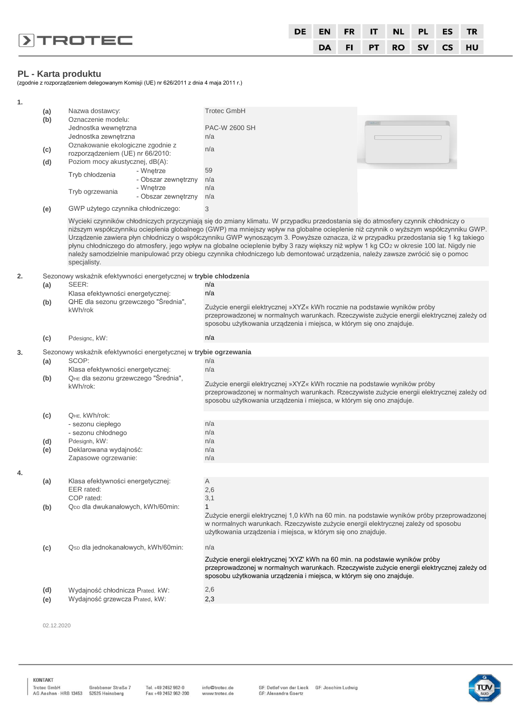|                         |  |  | DE EN FR IT NL PL ES TR |  |
|-------------------------|--|--|-------------------------|--|
| $\triangleright$ TROTEC |  |  | DA FI PT RO SV CS HU    |  |

#### **PL - Karta produktu**

(zgodnie z rozporządzeniem delegowanym Komisji (UE) nr 626/2011 z dnia 4 maja 2011 r.)

| 1. |              |                                                                  |                     |                                                                                                                                                                                                                                                                                                                                                                                                                                                                                                                                                                                                                                                                                              |
|----|--------------|------------------------------------------------------------------|---------------------|----------------------------------------------------------------------------------------------------------------------------------------------------------------------------------------------------------------------------------------------------------------------------------------------------------------------------------------------------------------------------------------------------------------------------------------------------------------------------------------------------------------------------------------------------------------------------------------------------------------------------------------------------------------------------------------------|
|    | (a)          | Nazwa dostawcy:                                                  |                     | <b>Trotec GmbH</b>                                                                                                                                                                                                                                                                                                                                                                                                                                                                                                                                                                                                                                                                           |
|    | (b)          | Oznaczenie modelu:                                               |                     |                                                                                                                                                                                                                                                                                                                                                                                                                                                                                                                                                                                                                                                                                              |
|    |              | Jednostka wewnętrzna                                             |                     | <b>PAC-W 2600 SH</b>                                                                                                                                                                                                                                                                                                                                                                                                                                                                                                                                                                                                                                                                         |
|    |              | Jednostka zewnętrzna<br>Oznakowanie ekologiczne zgodnie z        |                     | n/a                                                                                                                                                                                                                                                                                                                                                                                                                                                                                                                                                                                                                                                                                          |
|    | (c)          | rozporządzeniem (UE) nr 66/2010:                                 |                     | n/a                                                                                                                                                                                                                                                                                                                                                                                                                                                                                                                                                                                                                                                                                          |
|    | (d)          | Poziom mocy akustycznej, dB(A):                                  |                     |                                                                                                                                                                                                                                                                                                                                                                                                                                                                                                                                                                                                                                                                                              |
|    |              | - Wnętrze<br>Tryb chłodzenia                                     |                     | 59                                                                                                                                                                                                                                                                                                                                                                                                                                                                                                                                                                                                                                                                                           |
|    |              |                                                                  | - Obszar zewnętrzny | n/a                                                                                                                                                                                                                                                                                                                                                                                                                                                                                                                                                                                                                                                                                          |
|    |              | - Wnętrze<br>Tryb ogrzewania                                     |                     | n/a                                                                                                                                                                                                                                                                                                                                                                                                                                                                                                                                                                                                                                                                                          |
|    |              |                                                                  | - Obszar zewnętrzny | n/a                                                                                                                                                                                                                                                                                                                                                                                                                                                                                                                                                                                                                                                                                          |
|    | (e)          | GWP użytego czynnika chłodniczego:                               |                     | 3                                                                                                                                                                                                                                                                                                                                                                                                                                                                                                                                                                                                                                                                                            |
|    |              | specjalisty.                                                     |                     | Wycieki czynników chłodniczych przyczyniają się do zmiany klimatu. W przypadku przedostania się do atmosfery czynnik chłodniczy o<br>niższym współczynniku ocieplenia globalnego (GWP) ma mniejszy wpływ na globalne ocieplenie niż czynnik o wyższym współczynniku GWP.<br>Urządzenie zawiera płyn chłodniczy o współczynniku GWP wynoszącym 3. Powyższe oznacza, iż w przypadku przedostania się 1 kg takiego<br>płynu chłodniczego do atmosfery, jego wpływ na globalne ocieplenie byłby 3 razy większy niż wpływ 1 kg CO2 w okresie 100 lat. Nigdy nie<br>należy samodzielnie manipulować przy obiegu czynnika chłodniczego lub demontować urządzenia, należy zawsze zwrócić się o pomoc |
| 2. |              | Sezonowy wskaźnik efektywności energetycznej w trybie chłodzenia |                     |                                                                                                                                                                                                                                                                                                                                                                                                                                                                                                                                                                                                                                                                                              |
|    | SEER:<br>(a) |                                                                  |                     | n/a                                                                                                                                                                                                                                                                                                                                                                                                                                                                                                                                                                                                                                                                                          |
|    |              | Klasa efektywności energetycznej:                                |                     | n/a                                                                                                                                                                                                                                                                                                                                                                                                                                                                                                                                                                                                                                                                                          |
|    | (b)          | QHE dla sezonu grzewczego "Średnia",<br>kWh/rok                  |                     | Zużycie energii elektrycznej »XYZ« kWh rocznie na podstawie wyników próby                                                                                                                                                                                                                                                                                                                                                                                                                                                                                                                                                                                                                    |
|    |              |                                                                  |                     | przeprowadzonej w normalnych warunkach. Rzeczywiste zużycie energii elektrycznej zależy od<br>sposobu użytkowania urządzenia i miejsca, w którym się ono znajduje.                                                                                                                                                                                                                                                                                                                                                                                                                                                                                                                           |
|    | (c)          | Pdesignc, kW:                                                    |                     | n/a                                                                                                                                                                                                                                                                                                                                                                                                                                                                                                                                                                                                                                                                                          |
|    |              | Sezonowy wskaźnik efektywności energetycznej w trybie ogrzewania |                     |                                                                                                                                                                                                                                                                                                                                                                                                                                                                                                                                                                                                                                                                                              |
| 3. | (a)          | SCOP:                                                            |                     | n/a                                                                                                                                                                                                                                                                                                                                                                                                                                                                                                                                                                                                                                                                                          |
|    |              | Klasa efektywności energetycznej:                                |                     | n/a                                                                                                                                                                                                                                                                                                                                                                                                                                                                                                                                                                                                                                                                                          |
|    | (b)          | QHE dla sezonu grzewczego "Średnia",                             |                     |                                                                                                                                                                                                                                                                                                                                                                                                                                                                                                                                                                                                                                                                                              |
|    |              | kWh/rok:                                                         |                     | Zużycie energii elektrycznej »XYZ« kWh rocznie na podstawie wyników próby<br>przeprowadzonej w normalnych warunkach. Rzeczywiste zużycie energii elektrycznej zależy od<br>sposobu użytkowania urządzenia i miejsca, w którym się ono znajduje.                                                                                                                                                                                                                                                                                                                                                                                                                                              |
|    | (c)          | QHE, kWh/rok:                                                    |                     |                                                                                                                                                                                                                                                                                                                                                                                                                                                                                                                                                                                                                                                                                              |
|    |              | - sezonu ciepłego                                                |                     | n/a                                                                                                                                                                                                                                                                                                                                                                                                                                                                                                                                                                                                                                                                                          |
|    |              | - sezonu chłodnego                                               |                     | n/a                                                                                                                                                                                                                                                                                                                                                                                                                                                                                                                                                                                                                                                                                          |
|    | (d)          | Pdesignh, kW:<br>Deklarowana wydajność:                          |                     | n/a<br>n/a                                                                                                                                                                                                                                                                                                                                                                                                                                                                                                                                                                                                                                                                                   |
|    | (e)          | Zapasowe ogrzewanie:                                             |                     | n/a                                                                                                                                                                                                                                                                                                                                                                                                                                                                                                                                                                                                                                                                                          |
|    |              |                                                                  |                     |                                                                                                                                                                                                                                                                                                                                                                                                                                                                                                                                                                                                                                                                                              |
| 4. |              | Klasa efektywności energetycznej:                                |                     | Α                                                                                                                                                                                                                                                                                                                                                                                                                                                                                                                                                                                                                                                                                            |
|    | (a)          | EER rated:                                                       |                     | 2,6                                                                                                                                                                                                                                                                                                                                                                                                                                                                                                                                                                                                                                                                                          |
|    |              | COP rated:                                                       |                     | 3,1                                                                                                                                                                                                                                                                                                                                                                                                                                                                                                                                                                                                                                                                                          |
|    | (b)          | QDD dla dwukanałowych, kWh/60min:                                |                     | $\mathbf{1}$                                                                                                                                                                                                                                                                                                                                                                                                                                                                                                                                                                                                                                                                                 |
|    |              |                                                                  |                     | Zużycie energii elektrycznej 1,0 kWh na 60 min. na podstawie wyników próby przeprowadzonej<br>w normalnych warunkach. Rzeczywiste zużycie energii elektrycznej zależy od sposobu<br>użytkowania urządzenia i miejsca, w którym się ono znajduje.                                                                                                                                                                                                                                                                                                                                                                                                                                             |
|    | (c)          | Qsp dla jednokanałowych, kWh/60min:                              |                     | n/a                                                                                                                                                                                                                                                                                                                                                                                                                                                                                                                                                                                                                                                                                          |
|    |              |                                                                  |                     | Zużycie energii elektrycznej 'XYZ' kWh na 60 min. na podstawie wyników próby<br>przeprowadzonej w normalnych warunkach. Rzeczywiste zużycie energii elektrycznej zależy od<br>sposobu użytkowania urządzenia i miejsca, w którym się ono znajduje.                                                                                                                                                                                                                                                                                                                                                                                                                                           |
|    | (d)          | Wydajność chłodnicza Prated, kW:                                 |                     | 2,6                                                                                                                                                                                                                                                                                                                                                                                                                                                                                                                                                                                                                                                                                          |
|    | (e)          | Wydajność grzewcza Prated, kW:                                   |                     | 2,3                                                                                                                                                                                                                                                                                                                                                                                                                                                                                                                                                                                                                                                                                          |
|    |              |                                                                  |                     |                                                                                                                                                                                                                                                                                                                                                                                                                                                                                                                                                                                                                                                                                              |

02.12.2020

KONTAKT

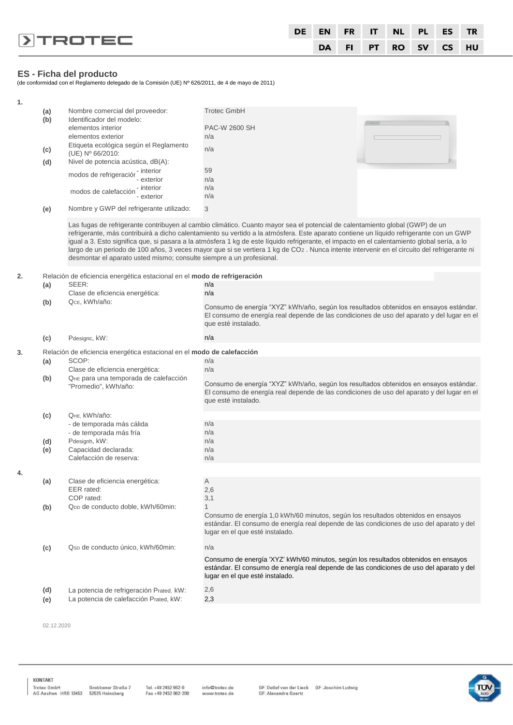|                         |  |  |  | DE EN FR IT NL PL ES TR |  |
|-------------------------|--|--|--|-------------------------|--|
| $\triangleright$ TROTEC |  |  |  | DA FI PT RO SV CS HU    |  |

#### **ES - Ficha del producto**

(de conformidad con el Reglamento delegado de la Comisión (UE) Nº 626/2011, de 4 de mayo de 2011)

| 1. |     |                                                                          |                                                                                                                                                                                                                                                                                                                                                                                                                                                                                                                                                                       |  |
|----|-----|--------------------------------------------------------------------------|-----------------------------------------------------------------------------------------------------------------------------------------------------------------------------------------------------------------------------------------------------------------------------------------------------------------------------------------------------------------------------------------------------------------------------------------------------------------------------------------------------------------------------------------------------------------------|--|
|    | (a) | Nombre comercial del proveedor:                                          | <b>Trotec GmbH</b>                                                                                                                                                                                                                                                                                                                                                                                                                                                                                                                                                    |  |
|    | (b) | Identificador del modelo:                                                |                                                                                                                                                                                                                                                                                                                                                                                                                                                                                                                                                                       |  |
|    |     | elementos interior                                                       | PAC-W 2600 SH                                                                                                                                                                                                                                                                                                                                                                                                                                                                                                                                                         |  |
|    |     | elementos exterior                                                       | n/a                                                                                                                                                                                                                                                                                                                                                                                                                                                                                                                                                                   |  |
|    |     | Etiqueta ecológica según el Reglamento                                   |                                                                                                                                                                                                                                                                                                                                                                                                                                                                                                                                                                       |  |
|    | (c) | (UE) Nº 66/2010:                                                         | n/a                                                                                                                                                                                                                                                                                                                                                                                                                                                                                                                                                                   |  |
|    | (d) | Nivel de potencia acústica, dB(A):                                       |                                                                                                                                                                                                                                                                                                                                                                                                                                                                                                                                                                       |  |
|    |     | modos de refrigeraciór - interior                                        | 59                                                                                                                                                                                                                                                                                                                                                                                                                                                                                                                                                                    |  |
|    |     | - exterior                                                               | n/a                                                                                                                                                                                                                                                                                                                                                                                                                                                                                                                                                                   |  |
|    |     | $\overline{\phantom{a}}$ - interior<br>modos de calefacción              | n/a                                                                                                                                                                                                                                                                                                                                                                                                                                                                                                                                                                   |  |
|    |     | - exterior                                                               | n/a                                                                                                                                                                                                                                                                                                                                                                                                                                                                                                                                                                   |  |
|    | (e) | Nombre y GWP del refrigerante utilizado:                                 | 3                                                                                                                                                                                                                                                                                                                                                                                                                                                                                                                                                                     |  |
|    |     | desmontar el aparato usted mismo; consulte siempre a un profesional.     | Las fugas de refrigerante contribuyen al cambio climático. Cuanto mayor sea el potencial de calentamiento global (GWP) de un<br>refrigerante, más contribuirá a dicho calentamiento su vertido a la atmósfera. Este aparato contiene un líquido refrigerante con un GWP<br>igual a 3. Esto significa que, si pasara a la atmósfera 1 kg de este líquido refrigerante, el impacto en el calentamiento global sería, a lo<br>largo de un periodo de 100 años, 3 veces mayor que si se vertiera 1 kg de CO2. Nunca intente intervenir en el circuito del refrigerante ni |  |
| 2. |     | Relación de eficiencia energética estacional en el modo de refrigeración |                                                                                                                                                                                                                                                                                                                                                                                                                                                                                                                                                                       |  |
|    | (a) | SEER:                                                                    | n/a                                                                                                                                                                                                                                                                                                                                                                                                                                                                                                                                                                   |  |
|    |     | Clase de eficiencia energética:                                          | n/a                                                                                                                                                                                                                                                                                                                                                                                                                                                                                                                                                                   |  |
|    | (b) | Qсє, kWh/año:                                                            |                                                                                                                                                                                                                                                                                                                                                                                                                                                                                                                                                                       |  |
|    |     |                                                                          | Consumo de energía "XYZ" kWh/año, según los resultados obtenidos en ensayos estándar.<br>El consumo de energía real depende de las condiciones de uso del aparato y del lugar en el<br>que esté instalado.                                                                                                                                                                                                                                                                                                                                                            |  |
|    | (c) | Pdesignc, kW:                                                            | n/a                                                                                                                                                                                                                                                                                                                                                                                                                                                                                                                                                                   |  |
| 3. |     | Relación de eficiencia energética estacional en el modo de calefacción   |                                                                                                                                                                                                                                                                                                                                                                                                                                                                                                                                                                       |  |
|    | (a) | SCOP:                                                                    | n/a                                                                                                                                                                                                                                                                                                                                                                                                                                                                                                                                                                   |  |
|    |     | Clase de eficiencia energética:                                          | n/a                                                                                                                                                                                                                                                                                                                                                                                                                                                                                                                                                                   |  |
|    | (b) | QHE para una temporada de calefacción                                    |                                                                                                                                                                                                                                                                                                                                                                                                                                                                                                                                                                       |  |
|    |     | "Promedio", kWh/año:                                                     | Consumo de energía "XYZ" kWh/año, según los resultados obtenidos en ensayos estándar.<br>El consumo de energía real depende de las condiciones de uso del aparato y del lugar en el<br>que esté instalado.                                                                                                                                                                                                                                                                                                                                                            |  |
|    | (c) | QHE, kWh/año:                                                            |                                                                                                                                                                                                                                                                                                                                                                                                                                                                                                                                                                       |  |
|    |     | - de temporada más cálida                                                | n/a                                                                                                                                                                                                                                                                                                                                                                                                                                                                                                                                                                   |  |
|    |     | - de temporada más fría                                                  | n/a                                                                                                                                                                                                                                                                                                                                                                                                                                                                                                                                                                   |  |
|    | (d) | Pdesignh, kW:                                                            | n/a                                                                                                                                                                                                                                                                                                                                                                                                                                                                                                                                                                   |  |
|    | (e) | Capacidad declarada:                                                     | n/a                                                                                                                                                                                                                                                                                                                                                                                                                                                                                                                                                                   |  |
|    |     | Calefacción de reserva:                                                  | n/a                                                                                                                                                                                                                                                                                                                                                                                                                                                                                                                                                                   |  |
|    |     |                                                                          |                                                                                                                                                                                                                                                                                                                                                                                                                                                                                                                                                                       |  |
| 4. |     |                                                                          |                                                                                                                                                                                                                                                                                                                                                                                                                                                                                                                                                                       |  |
|    | (a) | Clase de eficiencia energética:<br>EER rated:                            | Α<br>2,6                                                                                                                                                                                                                                                                                                                                                                                                                                                                                                                                                              |  |
|    |     | COP rated:                                                               | 3,1                                                                                                                                                                                                                                                                                                                                                                                                                                                                                                                                                                   |  |
|    |     | Q <sub>DD</sub> de conducto doble, kWh/60min:                            | 1                                                                                                                                                                                                                                                                                                                                                                                                                                                                                                                                                                     |  |
|    | (b) |                                                                          | Consumo de energía 1,0 kWh/60 minutos, según los resultados obtenidos en ensayos                                                                                                                                                                                                                                                                                                                                                                                                                                                                                      |  |
|    |     |                                                                          | estándar. El consumo de energía real depende de las condiciones de uso del aparato y del<br>lugar en el que esté instalado.                                                                                                                                                                                                                                                                                                                                                                                                                                           |  |
|    | (c) | Q <sub>SD</sub> de conducto único, kWh/60min:                            | n/a                                                                                                                                                                                                                                                                                                                                                                                                                                                                                                                                                                   |  |
|    |     |                                                                          | Consumo de energía 'XYZ' kWh/60 minutos, según los resultados obtenidos en ensayos<br>estándar. El consumo de energía real depende de las condiciones de uso del aparato y del<br>lugar en el que esté instalado.                                                                                                                                                                                                                                                                                                                                                     |  |
|    | (d) | La potencia de refrigeración Prated, kW:                                 | 2,6                                                                                                                                                                                                                                                                                                                                                                                                                                                                                                                                                                   |  |
|    | (e) | La potencia de calefacción Prated, kW:                                   | 2,3                                                                                                                                                                                                                                                                                                                                                                                                                                                                                                                                                                   |  |
|    |     |                                                                          |                                                                                                                                                                                                                                                                                                                                                                                                                                                                                                                                                                       |  |

02.12.2020

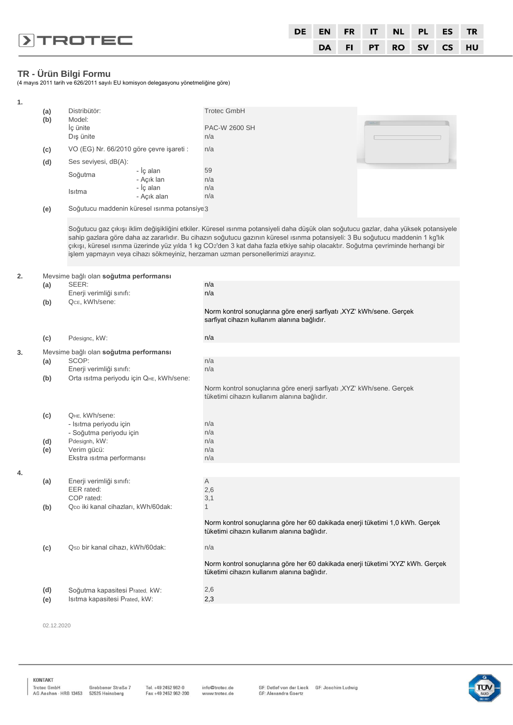|                | <b>DE</b> |  |  | EN FR IT NL PL ES TR |  |
|----------------|-----------|--|--|----------------------|--|
| <b>DIROTEC</b> |           |  |  | DA FI PT RO SV CS HU |  |

# **TR - Ürün Bilgi Formu**

(4 mayıs 2011 tarih ve 626/2011 sayılı EU komisyon delegasyonu yönetmeliğine göre)

| 1. |     |                                                                                                                                                                                                                                                                                                                                                                                                                                                                                               |             |                                                                                                                                |  |  |  |  |  |  |  |  |
|----|-----|-----------------------------------------------------------------------------------------------------------------------------------------------------------------------------------------------------------------------------------------------------------------------------------------------------------------------------------------------------------------------------------------------------------------------------------------------------------------------------------------------|-------------|--------------------------------------------------------------------------------------------------------------------------------|--|--|--|--|--|--|--|--|
|    | (a) | Distribütör:                                                                                                                                                                                                                                                                                                                                                                                                                                                                                  |             | <b>Trotec GmbH</b>                                                                                                             |  |  |  |  |  |  |  |  |
|    | (b) | Model:                                                                                                                                                                                                                                                                                                                                                                                                                                                                                        |             |                                                                                                                                |  |  |  |  |  |  |  |  |
|    |     | İç ünite                                                                                                                                                                                                                                                                                                                                                                                                                                                                                      |             | <b>PAC-W 2600 SH</b>                                                                                                           |  |  |  |  |  |  |  |  |
|    |     | Dış ünite                                                                                                                                                                                                                                                                                                                                                                                                                                                                                     |             | n/a                                                                                                                            |  |  |  |  |  |  |  |  |
|    | (c) | VO (EG) Nr. 66/2010 göre çevre işareti :                                                                                                                                                                                                                                                                                                                                                                                                                                                      |             | n/a                                                                                                                            |  |  |  |  |  |  |  |  |
|    |     |                                                                                                                                                                                                                                                                                                                                                                                                                                                                                               |             |                                                                                                                                |  |  |  |  |  |  |  |  |
|    | (d) | Ses seviyesi, dB(A):                                                                                                                                                                                                                                                                                                                                                                                                                                                                          | - İç alan   | 59                                                                                                                             |  |  |  |  |  |  |  |  |
|    |     | Soğutma                                                                                                                                                                                                                                                                                                                                                                                                                                                                                       | - Açık lan  | n/a                                                                                                                            |  |  |  |  |  |  |  |  |
|    |     |                                                                                                                                                                                                                                                                                                                                                                                                                                                                                               | - İç alan   | n/a                                                                                                                            |  |  |  |  |  |  |  |  |
|    |     | Isitma                                                                                                                                                                                                                                                                                                                                                                                                                                                                                        | - Açık alan | n/a                                                                                                                            |  |  |  |  |  |  |  |  |
|    |     | Soğutucu maddenin küresel ısınma potansiye 3                                                                                                                                                                                                                                                                                                                                                                                                                                                  |             |                                                                                                                                |  |  |  |  |  |  |  |  |
|    | (e) |                                                                                                                                                                                                                                                                                                                                                                                                                                                                                               |             |                                                                                                                                |  |  |  |  |  |  |  |  |
|    |     | Soğutucu gaz çıkışı iklim değişikliğini etkiler. Küresel ısınma potansiyeli daha düşük olan soğutucu gazlar, daha yüksek potansiyele<br>sahip gazlara göre daha az zararlıdır. Bu cihazın soğutucu gazının küresel ısınma potansiyeli: 3 Bu soğutucu maddenin 1 kg'lık<br>çıkışı, küresel ısınma üzerinde yüz yılda 1 kg CO2'den 3 kat daha fazla etkiye sahip olacaktır. Soğutma çevriminde herhangi bir<br>işlem yapmayın veya cihazı sökmeyiniz, herzaman uzman personellerimizi arayınız. |             |                                                                                                                                |  |  |  |  |  |  |  |  |
| 2. |     | Mevsime bağlı olan soğutma performansı                                                                                                                                                                                                                                                                                                                                                                                                                                                        |             |                                                                                                                                |  |  |  |  |  |  |  |  |
|    | (a) | SEER:                                                                                                                                                                                                                                                                                                                                                                                                                                                                                         |             | n/a                                                                                                                            |  |  |  |  |  |  |  |  |
|    |     | Enerji verimliği sınıfı:                                                                                                                                                                                                                                                                                                                                                                                                                                                                      |             | n/a                                                                                                                            |  |  |  |  |  |  |  |  |
|    | (b) | QcE, kWh/sene:                                                                                                                                                                                                                                                                                                                                                                                                                                                                                |             |                                                                                                                                |  |  |  |  |  |  |  |  |
|    |     |                                                                                                                                                                                                                                                                                                                                                                                                                                                                                               |             | Norm kontrol sonuçlarına göre enerji sarfiyatı , XYZ' kWh/sene. Gerçek<br>sarfiyat cihazın kullanım alanına bağlıdır.          |  |  |  |  |  |  |  |  |
|    | (c) | Pdesignc, kW:                                                                                                                                                                                                                                                                                                                                                                                                                                                                                 |             | n/a                                                                                                                            |  |  |  |  |  |  |  |  |
| 3. |     | Mevsime bağlı olan soğutma performansı                                                                                                                                                                                                                                                                                                                                                                                                                                                        |             |                                                                                                                                |  |  |  |  |  |  |  |  |
|    | (a) | SCOP:                                                                                                                                                                                                                                                                                                                                                                                                                                                                                         |             | n/a                                                                                                                            |  |  |  |  |  |  |  |  |
|    |     | Enerji verimliği sınıfı:                                                                                                                                                                                                                                                                                                                                                                                                                                                                      |             | n/a                                                                                                                            |  |  |  |  |  |  |  |  |
|    | (b) | Orta ısıtma periyodu için QHE, kWh/sene:                                                                                                                                                                                                                                                                                                                                                                                                                                                      |             |                                                                                                                                |  |  |  |  |  |  |  |  |
|    |     |                                                                                                                                                                                                                                                                                                                                                                                                                                                                                               |             | Norm kontrol sonuçlarına göre enerji sarfiyatı ,XYZ' kWh/sene. Gerçek<br>tüketimi cihazın kullanım alanına bağlıdır.           |  |  |  |  |  |  |  |  |
|    | (c) | QHE, kWh/sene:                                                                                                                                                                                                                                                                                                                                                                                                                                                                                |             |                                                                                                                                |  |  |  |  |  |  |  |  |
|    |     | - Isıtma periyodu için                                                                                                                                                                                                                                                                                                                                                                                                                                                                        |             | n/a                                                                                                                            |  |  |  |  |  |  |  |  |
|    |     | - Soğutma periyodu için                                                                                                                                                                                                                                                                                                                                                                                                                                                                       |             | n/a                                                                                                                            |  |  |  |  |  |  |  |  |
|    | (d) | Pdesignh, kW:                                                                                                                                                                                                                                                                                                                                                                                                                                                                                 |             | n/a                                                                                                                            |  |  |  |  |  |  |  |  |
|    | (e) | Verim gücü:                                                                                                                                                                                                                                                                                                                                                                                                                                                                                   |             | n/a                                                                                                                            |  |  |  |  |  |  |  |  |
|    |     | Ekstra isitma performansi                                                                                                                                                                                                                                                                                                                                                                                                                                                                     |             | n/a                                                                                                                            |  |  |  |  |  |  |  |  |
| 4. |     |                                                                                                                                                                                                                                                                                                                                                                                                                                                                                               |             |                                                                                                                                |  |  |  |  |  |  |  |  |
|    | (a) | Enerji verimliği sınıfı:                                                                                                                                                                                                                                                                                                                                                                                                                                                                      |             | Α                                                                                                                              |  |  |  |  |  |  |  |  |
|    |     | EER rated:                                                                                                                                                                                                                                                                                                                                                                                                                                                                                    |             | 2,6                                                                                                                            |  |  |  |  |  |  |  |  |
|    |     | COP rated:                                                                                                                                                                                                                                                                                                                                                                                                                                                                                    |             | 3,1                                                                                                                            |  |  |  |  |  |  |  |  |
|    | (b) | QDD iki kanal cihazları, kWh/60dak:                                                                                                                                                                                                                                                                                                                                                                                                                                                           |             | $\mathbf{1}$                                                                                                                   |  |  |  |  |  |  |  |  |
|    |     |                                                                                                                                                                                                                                                                                                                                                                                                                                                                                               |             | Norm kontrol sonuçlarına göre her 60 dakikada enerji tüketimi 1,0 kWh. Gerçek<br>tüketimi cihazın kullanım alanına bağlıdır.   |  |  |  |  |  |  |  |  |
|    | (c) | Qsp bir kanal cihazı, kWh/60dak:                                                                                                                                                                                                                                                                                                                                                                                                                                                              |             | n/a                                                                                                                            |  |  |  |  |  |  |  |  |
|    |     |                                                                                                                                                                                                                                                                                                                                                                                                                                                                                               |             | Norm kontrol sonuçlarına göre her 60 dakikada enerji tüketimi 'XYZ' kWh. Gerçek<br>tüketimi cihazın kullanım alanına bağlıdır. |  |  |  |  |  |  |  |  |
|    | (d) | Soğutma kapasitesi Prated, kW:                                                                                                                                                                                                                                                                                                                                                                                                                                                                |             | 2,6                                                                                                                            |  |  |  |  |  |  |  |  |
|    | (e) | Isitma kapasitesi Prated, kW:                                                                                                                                                                                                                                                                                                                                                                                                                                                                 |             | 2,3                                                                                                                            |  |  |  |  |  |  |  |  |
|    |     |                                                                                                                                                                                                                                                                                                                                                                                                                                                                                               |             |                                                                                                                                |  |  |  |  |  |  |  |  |

02.12.2020

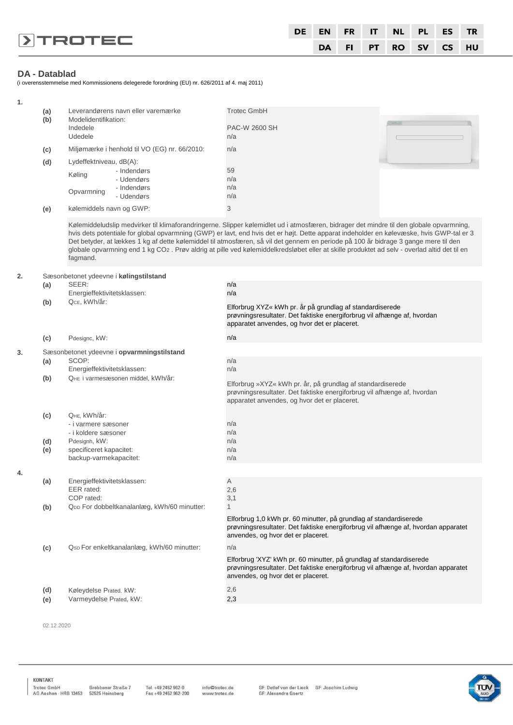|                         |  |  | DE EN FR IT NL PL ES TR |  |
|-------------------------|--|--|-------------------------|--|
| $\triangleright$ TROTEC |  |  | DA FI PT RO SV CS HU    |  |

# **DA - Datablad**

(i overensstemmelse med Kommissionens delegerede forordning (EU) nr. 626/2011 af 4. maj 2011)

| 1. |            |                                                                                                           |                                                                                                                                                                                                                                                                                                                                                                                                                                                                                                                                                                           |
|----|------------|-----------------------------------------------------------------------------------------------------------|---------------------------------------------------------------------------------------------------------------------------------------------------------------------------------------------------------------------------------------------------------------------------------------------------------------------------------------------------------------------------------------------------------------------------------------------------------------------------------------------------------------------------------------------------------------------------|
|    | (a)<br>(b) | Leverandørens navn eller varemærke<br>Modelidentifikation:<br>Indedele<br>Udedele                         | <b>Trotec GmbH</b><br>PAC-W 2600 SH<br>n/a                                                                                                                                                                                                                                                                                                                                                                                                                                                                                                                                |
|    |            | Miljømærke i henhold til VO (EG) nr. 66/2010:                                                             |                                                                                                                                                                                                                                                                                                                                                                                                                                                                                                                                                                           |
|    | (c)        |                                                                                                           | n/a                                                                                                                                                                                                                                                                                                                                                                                                                                                                                                                                                                       |
|    | (d)        | Lydeffektniveau, dB(A):<br>- Indendørs<br>Køling<br>- Udendørs<br>- Indendørs<br>Opvarmning<br>- Udendørs | 59<br>n/a<br>n/a<br>n/a                                                                                                                                                                                                                                                                                                                                                                                                                                                                                                                                                   |
|    | (e)        | kølemiddels navn og GWP:                                                                                  | 3                                                                                                                                                                                                                                                                                                                                                                                                                                                                                                                                                                         |
|    |            | fagmand.                                                                                                  | Kølemiddeludslip medvirker til klimaforandringerne. Slipper kølemidlet ud i atmosfæren, bidrager det mindre til den globale opvarmning,<br>hvis dets potentiale for global opvarmning (GWP) er lavt, end hvis det er højt. Dette apparat indeholder en kølevæske, hvis GWP-tal er 3<br>Det betyder, at lækkes 1 kg af dette kølemiddel til atmosfæren, så vil det gennem en periode på 100 år bidrage 3 gange mere til den<br>globale opvarmning end 1 kg CO2. Prøv aldrig at pille ved kølemiddelkredsløbet eller at skille produktet ad selv - overlad altid det til en |
| 2. |            | Sæsonbetonet ydeevne i kølingstilstand                                                                    |                                                                                                                                                                                                                                                                                                                                                                                                                                                                                                                                                                           |
|    | (a)        | SEER:<br>Energieffektivitetsklassen:                                                                      | n/a<br>n/a                                                                                                                                                                                                                                                                                                                                                                                                                                                                                                                                                                |
|    | (b)        | QcE, kWh/år:                                                                                              | Elforbrug XYZ« kWh pr. år på grundlag af standardiserede<br>prøvningsresultater. Det faktiske energiforbrug vil afhænge af, hvordan                                                                                                                                                                                                                                                                                                                                                                                                                                       |
|    |            |                                                                                                           | apparatet anvendes, og hvor det er placeret.                                                                                                                                                                                                                                                                                                                                                                                                                                                                                                                              |
|    | (c)        | Pdesignc, kW:                                                                                             | n/a                                                                                                                                                                                                                                                                                                                                                                                                                                                                                                                                                                       |
| 3. |            | Sæsonbetonet ydeevne i opvarmningstilstand                                                                |                                                                                                                                                                                                                                                                                                                                                                                                                                                                                                                                                                           |
|    | (a)        | SCOP:<br>Energieffektivitetsklassen:                                                                      | n/a<br>n/a                                                                                                                                                                                                                                                                                                                                                                                                                                                                                                                                                                |
|    | (b)        | QHE i varmesæsonen middel, kWh/år:                                                                        | Elforbrug »XYZ« kWh pr. år, på grundlag af standardiserede<br>prøvningsresultater. Det faktiske energiforbrug vil afhænge af, hvordan<br>apparatet anvendes, og hvor det er placeret.                                                                                                                                                                                                                                                                                                                                                                                     |
|    | (c)<br>(d) | QHE, kWh/år:<br>- i varmere sæsoner<br>- i koldere sæsoner<br>Pdesignh, kW:                               | n/a<br>n/a<br>n/a                                                                                                                                                                                                                                                                                                                                                                                                                                                                                                                                                         |
|    | (e)        | specificeret kapacitet:<br>backup-varmekapacitet:                                                         | n/a<br>n/a                                                                                                                                                                                                                                                                                                                                                                                                                                                                                                                                                                |
| 4. |            |                                                                                                           |                                                                                                                                                                                                                                                                                                                                                                                                                                                                                                                                                                           |
|    | (a)<br>(b) | Energieffektivitetsklassen:<br>EER rated:<br>COP rated:<br>QDD For dobbeltkanalanlæg, kWh/60 minutter:    | Α<br>2,6<br>3,1<br>$\mathbf{1}$                                                                                                                                                                                                                                                                                                                                                                                                                                                                                                                                           |
|    |            |                                                                                                           | Elforbrug 1,0 kWh pr. 60 minutter, på grundlag af standardiserede<br>prøvningsresultater. Det faktiske energiforbrug vil afhænge af, hvordan apparatet<br>anvendes, og hvor det er placeret.                                                                                                                                                                                                                                                                                                                                                                              |
|    | (c)        | Qsp For enkeltkanalanlæg, kWh/60 minutter:                                                                | n/a                                                                                                                                                                                                                                                                                                                                                                                                                                                                                                                                                                       |
|    |            |                                                                                                           | Elforbrug 'XYZ' kWh pr. 60 minutter, på grundlag af standardiserede<br>prøvningsresultater. Det faktiske energiforbrug vil afhænge af, hvordan apparatet<br>anvendes, og hvor det er placeret.                                                                                                                                                                                                                                                                                                                                                                            |
|    | (d)        | Køleydelse Prated, kW:                                                                                    | 2,6                                                                                                                                                                                                                                                                                                                                                                                                                                                                                                                                                                       |
|    | (e)        | Varmeydelse Prated, kW:                                                                                   | 2,3                                                                                                                                                                                                                                                                                                                                                                                                                                                                                                                                                                       |
|    |            |                                                                                                           |                                                                                                                                                                                                                                                                                                                                                                                                                                                                                                                                                                           |

02.12.2020

KONTAKT 

Tel. +49 2452 962-0<br>Fax +49 2452 962-200 info@trotec.de<br>www.trotec.de

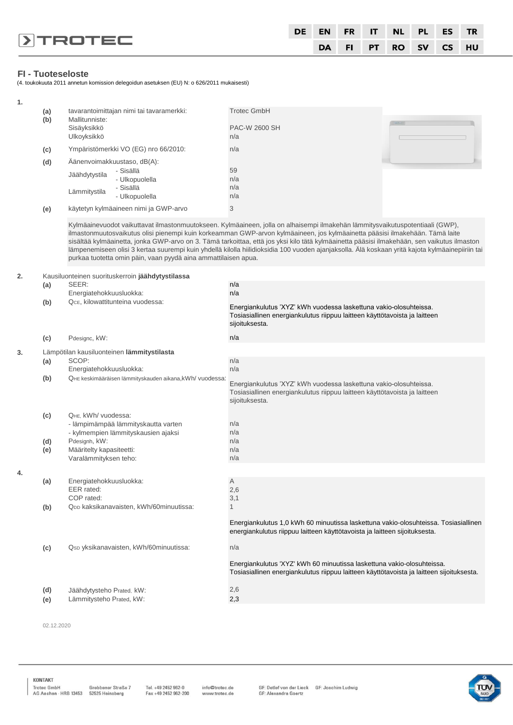|                         | DE |  |  | EN FR IT NL PL ES TR |  |
|-------------------------|----|--|--|----------------------|--|
| $\triangleright$ TROTEC |    |  |  | DA FI PT RO SV CS HU |  |

# **FI - Tuoteseloste**

(4. toukokuuta 2011 annetun komission delegoidun asetuksen (EU) N: o 626/2011 mukaisesti)

| 1. | (a)<br>(b) | tavarantoimittajan nimi tai tavaramerkki:<br>Mallitunniste:<br>Sisäyksikkö<br>Ulkoyksikkö                                                                                                                                                                                                                                                                                                                                                                                                                                                                                                                                          | <b>Trotec GmbH</b><br>PAC-W 2600 SH<br>n/a                                                                                                                               |  |  |  |  |  |  |
|----|------------|------------------------------------------------------------------------------------------------------------------------------------------------------------------------------------------------------------------------------------------------------------------------------------------------------------------------------------------------------------------------------------------------------------------------------------------------------------------------------------------------------------------------------------------------------------------------------------------------------------------------------------|--------------------------------------------------------------------------------------------------------------------------------------------------------------------------|--|--|--|--|--|--|
|    | (c)        | Ympäristömerkki VO (EG) nro 66/2010:                                                                                                                                                                                                                                                                                                                                                                                                                                                                                                                                                                                               | n/a                                                                                                                                                                      |  |  |  |  |  |  |
|    | (d)<br>(e) | Äänenvoimakkuustaso, dB(A):<br>- Sisällä<br>Jäähdytystila<br>- Ulkopuolella<br>- Sisällä<br>Lämmitystila<br>- Ulkopuolella<br>käytetyn kylmäaineen nimi ja GWP-arvo                                                                                                                                                                                                                                                                                                                                                                                                                                                                | 59<br>n/a<br>n/a<br>n/a<br>3                                                                                                                                             |  |  |  |  |  |  |
|    |            | Kylmäainevuodot vaikuttavat ilmastonmuutokseen. Kylmäaineen, jolla on alhaisempi ilmakehän lämmitysvaikutuspotentiaali (GWP),<br>ilmastonmuutosvaikutus olisi pienempi kuin korkeamman GWP-arvon kylmäaineen, jos kylmäainetta pääsisi ilmakehään. Tämä laite<br>sisältää kylmäainetta, jonka GWP-arvo on 3. Tämä tarkoittaa, että jos yksi kilo tätä kylmäainetta pääsisi ilmakehään, sen vaikutus ilmaston<br>lämpenemiseen olisi 3 kertaa suurempi kuin yhdellä kilolla hiilidioksidia 100 vuoden ajanjaksolla. Älä koskaan yritä kajota kylmäainepiiriin tai<br>purkaa tuotetta omin päin, vaan pyydä aina ammattilaisen apua. |                                                                                                                                                                          |  |  |  |  |  |  |
| 2. |            | Kausiluonteinen suorituskerroin jäähdytystilassa                                                                                                                                                                                                                                                                                                                                                                                                                                                                                                                                                                                   |                                                                                                                                                                          |  |  |  |  |  |  |
|    | (a)        | SEER:                                                                                                                                                                                                                                                                                                                                                                                                                                                                                                                                                                                                                              | n/a                                                                                                                                                                      |  |  |  |  |  |  |
|    | (b)        | Energiatehokkuusluokka:<br>QcE, kilowattitunteina vuodessa:                                                                                                                                                                                                                                                                                                                                                                                                                                                                                                                                                                        | n/a<br>Energiankulutus 'XYZ' kWh vuodessa laskettuna vakio-olosuhteissa.<br>Tosiasiallinen energiankulutus riippuu laitteen käyttötavoista ja laitteen<br>sijoituksesta. |  |  |  |  |  |  |
|    | (c)        | Pdesignc, kW:                                                                                                                                                                                                                                                                                                                                                                                                                                                                                                                                                                                                                      | n/a                                                                                                                                                                      |  |  |  |  |  |  |
| 3. |            | Lämpötilan kausiluonteinen lämmitystilasta                                                                                                                                                                                                                                                                                                                                                                                                                                                                                                                                                                                         |                                                                                                                                                                          |  |  |  |  |  |  |
|    | (a)        | SCOP:<br>Energiatehokkuusluokka:                                                                                                                                                                                                                                                                                                                                                                                                                                                                                                                                                                                                   | n/a<br>n/a                                                                                                                                                               |  |  |  |  |  |  |
|    | (b)        | QHE keskimääräisen lämmityskauden aikana, kWh/ vuodessa:                                                                                                                                                                                                                                                                                                                                                                                                                                                                                                                                                                           | Energiankulutus 'XYZ' kWh vuodessa laskettuna vakio-olosuhteissa.<br>Tosiasiallinen energiankulutus riippuu laitteen käyttötavoista ja laitteen<br>sijoituksesta.        |  |  |  |  |  |  |
|    | (c)        | QHE. kWh/ vuodessa:<br>- lämpimämpää lämmityskautta varten<br>- kylmempien lämmityskausien ajaksi                                                                                                                                                                                                                                                                                                                                                                                                                                                                                                                                  | n/a<br>n/a                                                                                                                                                               |  |  |  |  |  |  |
|    | (d)        | Pdesignh, kW:                                                                                                                                                                                                                                                                                                                                                                                                                                                                                                                                                                                                                      | n/a                                                                                                                                                                      |  |  |  |  |  |  |
|    | (e)        | Määritelty kapasiteetti:                                                                                                                                                                                                                                                                                                                                                                                                                                                                                                                                                                                                           | n/a                                                                                                                                                                      |  |  |  |  |  |  |

**4.**

| (e) | Määritelty kapasiteetti:                            | n/a                                                                                                                                                                 |
|-----|-----------------------------------------------------|---------------------------------------------------------------------------------------------------------------------------------------------------------------------|
|     | Varalämmityksen teho:                               | n/a                                                                                                                                                                 |
|     |                                                     |                                                                                                                                                                     |
| (a) | Energiatehokkuusluokka:                             | $\overline{A}$                                                                                                                                                      |
|     | EER rated:                                          | 2,6                                                                                                                                                                 |
|     | COP rated:                                          | 3,1                                                                                                                                                                 |
| (b) | Q <sub>DD</sub> kaksikanavaisten, kWh/60minuutissa: |                                                                                                                                                                     |
|     |                                                     | Energiankulutus 1,0 kWh 60 minuutissa laskettuna vakio-olosuhteissa. Tosiasiallinen<br>energiankulutus riippuu laitteen käyttötavoista ja laitteen sijoituksesta.   |
| (c) | Qsp yksikanavaisten, kWh/60minuutissa:              | n/a                                                                                                                                                                 |
|     |                                                     | Energiankulutus 'XYZ' kWh 60 minuutissa laskettuna vakio-olosuhteissa.<br>Tosiasiallinen energiankulutus riippuu laitteen käyttötavoista ja laitteen sijoituksesta. |
| (d) | Jäähdytysteho Prated, kW:                           | 2,6                                                                                                                                                                 |
| (e) | Lämmitysteho Prated, kW:                            | 2,3                                                                                                                                                                 |
|     |                                                     |                                                                                                                                                                     |

02.12.2020

KONTAKT

Tel. +49 2452 962-0<br>Fax +49 2452 962-200

info@trotec.de<br>www.trotec.de

GF: Detlef von der Lieck GF: Joachim Ludwig<br>GF: Alexandra Goertz

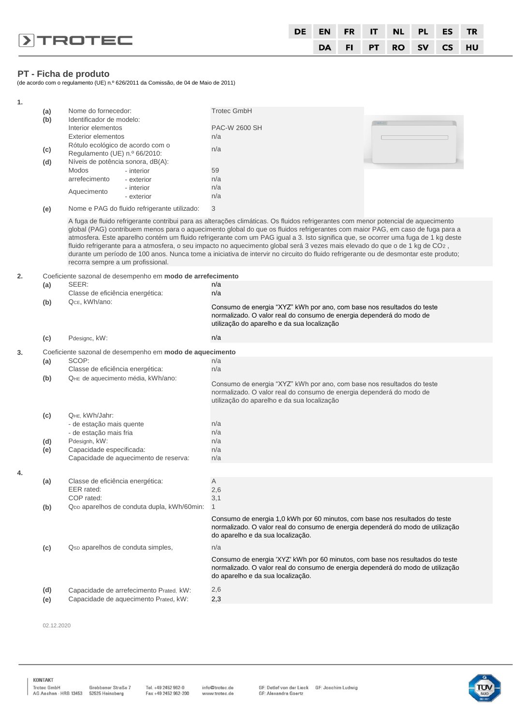|                         | DE |  |  | EN FR IT NL PL ES TR |  |
|-------------------------|----|--|--|----------------------|--|
| $\triangleright$ TROTEC |    |  |  | DA FI PT RO SV CS HU |  |

#### **PT - Ficha de produto**

(de acordo com o regulamento (UE) n.º 626/2011 da Comissão, de 04 de Maio de 2011)

| 1. |            |                                                                   |                                                            |                                                                                                                                                                                                                                                                                                                                                                                                                                                                                                                                                                                                                                                                                   |  |
|----|------------|-------------------------------------------------------------------|------------------------------------------------------------|-----------------------------------------------------------------------------------------------------------------------------------------------------------------------------------------------------------------------------------------------------------------------------------------------------------------------------------------------------------------------------------------------------------------------------------------------------------------------------------------------------------------------------------------------------------------------------------------------------------------------------------------------------------------------------------|--|
|    | (a)        | Nome do fornecedor:                                               |                                                            | <b>Trotec GmbH</b>                                                                                                                                                                                                                                                                                                                                                                                                                                                                                                                                                                                                                                                                |  |
|    | (b)        | Identificador de modelo:                                          |                                                            |                                                                                                                                                                                                                                                                                                                                                                                                                                                                                                                                                                                                                                                                                   |  |
|    |            | Interior elementos                                                |                                                            | PAC-W 2600 SH                                                                                                                                                                                                                                                                                                                                                                                                                                                                                                                                                                                                                                                                     |  |
|    |            | <b>Exterior elementos</b>                                         |                                                            | n/a                                                                                                                                                                                                                                                                                                                                                                                                                                                                                                                                                                                                                                                                               |  |
|    | (c)        | Rótulo ecológico de acordo com o<br>Regulamento (UE) n.º 66/2010: |                                                            | n/a                                                                                                                                                                                                                                                                                                                                                                                                                                                                                                                                                                                                                                                                               |  |
|    | (d)        | Níveis de potência sonora, dB(A):                                 |                                                            |                                                                                                                                                                                                                                                                                                                                                                                                                                                                                                                                                                                                                                                                                   |  |
|    |            | Modos                                                             | - interior                                                 | 59                                                                                                                                                                                                                                                                                                                                                                                                                                                                                                                                                                                                                                                                                |  |
|    |            | arrefecimento                                                     | - exterior                                                 | n/a                                                                                                                                                                                                                                                                                                                                                                                                                                                                                                                                                                                                                                                                               |  |
|    |            | Aquecimento                                                       | - interior                                                 | n/a                                                                                                                                                                                                                                                                                                                                                                                                                                                                                                                                                                                                                                                                               |  |
|    |            |                                                                   | - exterior                                                 | n/a                                                                                                                                                                                                                                                                                                                                                                                                                                                                                                                                                                                                                                                                               |  |
|    | (e)        |                                                                   | Nome e PAG do fluido refrigerante utilizado:               | 3                                                                                                                                                                                                                                                                                                                                                                                                                                                                                                                                                                                                                                                                                 |  |
|    |            | recorra sempre a um profissional.                                 |                                                            | A fuga de fluido refrigerante contribui para as alterações climáticas. Os fluidos refrigerantes com menor potencial de aquecimento<br>global (PAG) contribuem menos para o aquecimento global do que os fluidos refrigerantes com maior PAG, em caso de fuga para a<br>atmosfera. Este aparelho contém um fluido refrigerante com um PAG igual a 3. Isto significa que, se ocorrer uma fuga de 1 kg deste<br>fluido refrigerante para a atmosfera, o seu impacto no aquecimento global será 3 vezes mais elevado do que o de 1 kg de CO2,<br>durante um período de 100 anos. Nunca tome a iniciativa de intervir no circuito do fluido refrigerante ou de desmontar este produto; |  |
| 2. |            |                                                                   | Coeficiente sazonal de desempenho em modo de arrefecimento |                                                                                                                                                                                                                                                                                                                                                                                                                                                                                                                                                                                                                                                                                   |  |
|    | (a)        | SEER:                                                             |                                                            | n/a                                                                                                                                                                                                                                                                                                                                                                                                                                                                                                                                                                                                                                                                               |  |
|    |            | Classe de eficiência energética:                                  |                                                            | n/a                                                                                                                                                                                                                                                                                                                                                                                                                                                                                                                                                                                                                                                                               |  |
|    | (b)        | QcE, kWh/ano:                                                     |                                                            | Consumo de energia "XYZ" kWh por ano, com base nos resultados do teste<br>normalizado. O valor real do consumo de energia dependerá do modo de<br>utilização do aparelho e da sua localização                                                                                                                                                                                                                                                                                                                                                                                                                                                                                     |  |
|    | (c)        | Pdesignc, kW:                                                     |                                                            | n/a                                                                                                                                                                                                                                                                                                                                                                                                                                                                                                                                                                                                                                                                               |  |
| 3. |            |                                                                   | Coeficiente sazonal de desempenho em modo de aquecimento   |                                                                                                                                                                                                                                                                                                                                                                                                                                                                                                                                                                                                                                                                                   |  |
|    | (a)        | SCOP:                                                             |                                                            | n/a                                                                                                                                                                                                                                                                                                                                                                                                                                                                                                                                                                                                                                                                               |  |
|    |            | Classe de eficiência energética:                                  |                                                            | n/a                                                                                                                                                                                                                                                                                                                                                                                                                                                                                                                                                                                                                                                                               |  |
|    | (b)        | QHE de aquecimento média, kWh/ano:                                |                                                            | Consumo de energia "XYZ" kWh por ano, com base nos resultados do teste<br>normalizado. O valor real do consumo de energia dependerá do modo de<br>utilização do aparelho e da sua localização                                                                                                                                                                                                                                                                                                                                                                                                                                                                                     |  |
|    | (c)        | QHE, kWh/Jahr:                                                    |                                                            |                                                                                                                                                                                                                                                                                                                                                                                                                                                                                                                                                                                                                                                                                   |  |
|    |            | - de estação mais quente                                          |                                                            | n/a                                                                                                                                                                                                                                                                                                                                                                                                                                                                                                                                                                                                                                                                               |  |
|    |            | - de estação mais fria<br>Pdesignh, kW:                           |                                                            | n/a<br>n/a                                                                                                                                                                                                                                                                                                                                                                                                                                                                                                                                                                                                                                                                        |  |
|    | (d)<br>(e) | Capacidade especificada:                                          |                                                            | n/a                                                                                                                                                                                                                                                                                                                                                                                                                                                                                                                                                                                                                                                                               |  |
|    |            |                                                                   | Capacidade de aquecimento de reserva:                      | n/a                                                                                                                                                                                                                                                                                                                                                                                                                                                                                                                                                                                                                                                                               |  |
| 4. |            |                                                                   |                                                            |                                                                                                                                                                                                                                                                                                                                                                                                                                                                                                                                                                                                                                                                                   |  |
|    | (a)        | Classe de eficiência energética:                                  |                                                            | Α                                                                                                                                                                                                                                                                                                                                                                                                                                                                                                                                                                                                                                                                                 |  |
|    |            | EER rated:                                                        |                                                            | 2,6                                                                                                                                                                                                                                                                                                                                                                                                                                                                                                                                                                                                                                                                               |  |
|    |            | COP rated:                                                        |                                                            | 3,1                                                                                                                                                                                                                                                                                                                                                                                                                                                                                                                                                                                                                                                                               |  |
|    | (b)        |                                                                   | QDD aparelhos de conduta dupla, kWh/60min:                 | $\mathbf{1}$                                                                                                                                                                                                                                                                                                                                                                                                                                                                                                                                                                                                                                                                      |  |
|    |            |                                                                   |                                                            | Consumo de energia 1,0 kWh por 60 minutos, com base nos resultados do teste<br>normalizado. O valor real do consumo de energia dependerá do modo de utilização<br>do aparelho e da sua localização.                                                                                                                                                                                                                                                                                                                                                                                                                                                                               |  |
|    | (c)        | Q <sub>sp</sub> aparelhos de conduta simples,                     |                                                            | n/a                                                                                                                                                                                                                                                                                                                                                                                                                                                                                                                                                                                                                                                                               |  |
|    |            |                                                                   |                                                            | Consumo de energia 'XYZ' kWh por 60 minutos, com base nos resultados do teste<br>normalizado. O valor real do consumo de energia dependerá do modo de utilização<br>do aparelho e da sua localização.                                                                                                                                                                                                                                                                                                                                                                                                                                                                             |  |
|    | (d)        |                                                                   | Capacidade de arrefecimento Prated, kW:                    | 2,6                                                                                                                                                                                                                                                                                                                                                                                                                                                                                                                                                                                                                                                                               |  |
|    | (e)        |                                                                   | Capacidade de aquecimento Prated, kW:                      | 2,3                                                                                                                                                                                                                                                                                                                                                                                                                                                                                                                                                                                                                                                                               |  |
|    |            |                                                                   |                                                            |                                                                                                                                                                                                                                                                                                                                                                                                                                                                                                                                                                                                                                                                                   |  |

02.12.2020

KONTAKT

Tel. +49 2452 962-0<br>Fax +49 2452 962-200

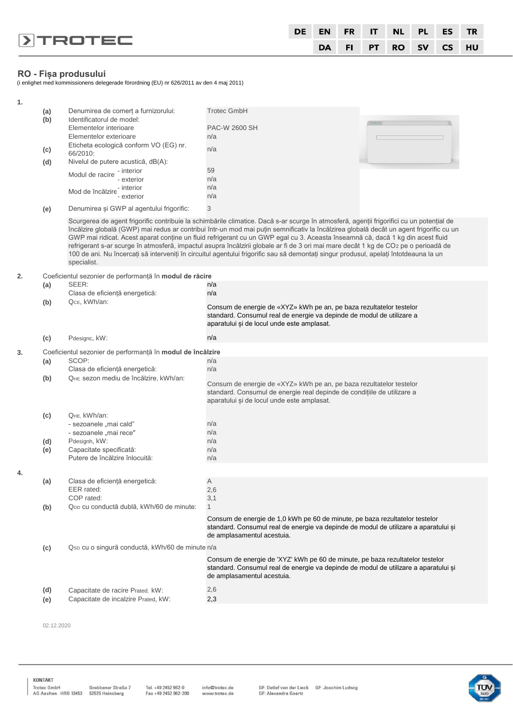|                |  |  |  | DE EN FR IT NL PL ES TR |  |
|----------------|--|--|--|-------------------------|--|
| <b>DIROTEC</b> |  |  |  | DA FI PT RO SV CS HU    |  |

# **RO - Fișa produsului**

(i enlighet med kommissionens delegerade förordning (EU) nr 626/2011 av den 4 maj 2011)

| 1. |            |                                                                                                                      |                                                                                                                                                                                                                                                                                                                                                                                                                                                                                                                                                                                                                                                                                                       |
|----|------------|----------------------------------------------------------------------------------------------------------------------|-------------------------------------------------------------------------------------------------------------------------------------------------------------------------------------------------------------------------------------------------------------------------------------------------------------------------------------------------------------------------------------------------------------------------------------------------------------------------------------------------------------------------------------------------------------------------------------------------------------------------------------------------------------------------------------------------------|
|    | (a)<br>(b) | Denumirea de comerț a furnizorului:<br>Identificatorul de model:<br>Elementelor interioare<br>Elementelor exterioare | <b>Trotec GmbH</b><br>PAC-W 2600 SH<br>n/a                                                                                                                                                                                                                                                                                                                                                                                                                                                                                                                                                                                                                                                            |
|    | (c)<br>(d) | Eticheta ecologică conform VO (EG) nr.<br>66/2010:<br>Nivelul de putere acustică, dB(A):                             | n/a                                                                                                                                                                                                                                                                                                                                                                                                                                                                                                                                                                                                                                                                                                   |
|    |            | Modul de racire - interior<br>- exterior                                                                             | 59<br>n/a<br>n/a                                                                                                                                                                                                                                                                                                                                                                                                                                                                                                                                                                                                                                                                                      |
|    |            | Mod de încălzire - interior<br>- exterior                                                                            | n/a                                                                                                                                                                                                                                                                                                                                                                                                                                                                                                                                                                                                                                                                                                   |
|    | (e)        | Denumirea și GWP al agentului frigorific:                                                                            | 3                                                                                                                                                                                                                                                                                                                                                                                                                                                                                                                                                                                                                                                                                                     |
|    |            | specialist.                                                                                                          | Scurgerea de agent frigorific contribuie la schimbările climatice. Dacă s-ar scurge în atmosferă, agenții frigorifici cu un potențial de<br>încălzire globală (GWP) mai redus ar contribui într-un mod mai puțin semnificativ la încălzirea globală decât un agent frigorific cu un<br>GWP mai ridicat. Acest aparat conține un fluid refrigerant cu un GWP egal cu 3. Aceasta înseamnă că, dacă 1 kg din acest fluid<br>refrigerant s-ar scurge în atmosferă, impactul asupra încălzirii globale ar fi de 3 ori mai mare decât 1 kg de CO2 pe o perioadă de<br>100 de ani. Nu încercați să interveniți în circuitul agentului frigorific sau să demontați singur produsul, apelați întotdeauna la un |
| 2. |            | Coeficientul sezonier de performanță în modul de răcire                                                              |                                                                                                                                                                                                                                                                                                                                                                                                                                                                                                                                                                                                                                                                                                       |
|    | (a)        | SEER:<br>Clasa de eficiență energetică:                                                                              | n/a<br>n/a                                                                                                                                                                                                                                                                                                                                                                                                                                                                                                                                                                                                                                                                                            |
|    | (b)        | QcE, kWh/an:                                                                                                         | Consum de energie de «XYZ» kWh pe an, pe baza rezultatelor testelor<br>standard. Consumul real de energie va depinde de modul de utilizare a<br>aparatului și de locul unde este amplasat.                                                                                                                                                                                                                                                                                                                                                                                                                                                                                                            |
|    | (c)        | Pdesignc, kW:                                                                                                        | n/a                                                                                                                                                                                                                                                                                                                                                                                                                                                                                                                                                                                                                                                                                                   |
| 3. |            | Coeficientul sezonier de performanță în modul de încălzire                                                           |                                                                                                                                                                                                                                                                                                                                                                                                                                                                                                                                                                                                                                                                                                       |
|    | (a)        | SCOP:<br>Clasa de eficiență energetică:                                                                              | n/a<br>n/a                                                                                                                                                                                                                                                                                                                                                                                                                                                                                                                                                                                                                                                                                            |
|    | (b)        | QHE sezon mediu de încălzire, kWh/an:                                                                                | Consum de energie de «XYZ» kWh pe an, pe baza rezultatelor testelor<br>standard. Consumul de energie real depinde de condițiile de utilizare a<br>aparatului și de locul unde este amplasat.                                                                                                                                                                                                                                                                                                                                                                                                                                                                                                          |
|    | (c)        | QHE, kWh/an:<br>- sezoanele "mai cald"                                                                               | n/a                                                                                                                                                                                                                                                                                                                                                                                                                                                                                                                                                                                                                                                                                                   |
|    |            | - sezoanele "mai rece"                                                                                               | n/a                                                                                                                                                                                                                                                                                                                                                                                                                                                                                                                                                                                                                                                                                                   |
|    | (d)<br>(e) | Pdesignh, kW:<br>Capacitate specificată:<br>Putere de încălzire înlocuită:                                           | n/a<br>n/a                                                                                                                                                                                                                                                                                                                                                                                                                                                                                                                                                                                                                                                                                            |
|    |            |                                                                                                                      | n/a                                                                                                                                                                                                                                                                                                                                                                                                                                                                                                                                                                                                                                                                                                   |
| 4. |            |                                                                                                                      |                                                                                                                                                                                                                                                                                                                                                                                                                                                                                                                                                                                                                                                                                                       |
|    | (a)        | Clasa de eficientă energetică:<br>EER rated:<br>COP rated:                                                           | A<br>2,6<br>3,1                                                                                                                                                                                                                                                                                                                                                                                                                                                                                                                                                                                                                                                                                       |
|    | (b)        | Q <sub>DD</sub> cu conductă dublă, kWh/60 de minute:                                                                 | 1                                                                                                                                                                                                                                                                                                                                                                                                                                                                                                                                                                                                                                                                                                     |
|    |            |                                                                                                                      | Consum de energie de 1,0 kWh pe 60 de minute, pe baza rezultatelor testelor<br>standard. Consumul real de energie va depinde de modul de utilizare a aparatului și<br>de amplasamentul acestuia.                                                                                                                                                                                                                                                                                                                                                                                                                                                                                                      |
|    | (c)        | Qsp cu o singură conductă, kWh/60 de minute n/a                                                                      |                                                                                                                                                                                                                                                                                                                                                                                                                                                                                                                                                                                                                                                                                                       |
|    |            |                                                                                                                      | Consum de energie de 'XYZ' kWh pe 60 de minute, pe baza rezultatelor testelor<br>standard. Consumul real de energie va depinde de modul de utilizare a aparatului și<br>de amplasamentul acestuia.                                                                                                                                                                                                                                                                                                                                                                                                                                                                                                    |
|    | (d)        | Capacitate de racire Prated, kW:                                                                                     | 2,6                                                                                                                                                                                                                                                                                                                                                                                                                                                                                                                                                                                                                                                                                                   |
|    | (e)        | Capacitate de incalzire Prated, kW:                                                                                  | 2,3                                                                                                                                                                                                                                                                                                                                                                                                                                                                                                                                                                                                                                                                                                   |

02.12.2020

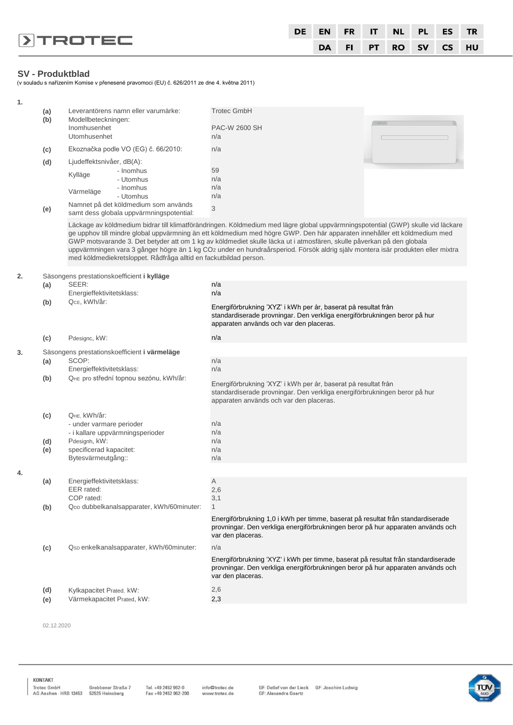|                         | DE |  |  | EN FR IT NL PL ES TR |  |
|-------------------------|----|--|--|----------------------|--|
| $\triangleright$ TROTEC |    |  |  | DA FI PT RO SV CS HU |  |

# **SV - Produktblad**

(v souladu s nařízením Komise v přenesené pravomoci (EU) č. 626/2011 ze dne 4. května 2011)

| 1. |     |                                                                   |                                                                                                                                                                                                                                                                                                                                                                                                                                                                                                                           |
|----|-----|-------------------------------------------------------------------|---------------------------------------------------------------------------------------------------------------------------------------------------------------------------------------------------------------------------------------------------------------------------------------------------------------------------------------------------------------------------------------------------------------------------------------------------------------------------------------------------------------------------|
|    | (a) | Leverantörens namn eller varumärke:                               | <b>Trotec GmbH</b>                                                                                                                                                                                                                                                                                                                                                                                                                                                                                                        |
|    | (b) | Modellbeteckningen:<br>Inomhusenhet                               | <b>PAC-W 2600 SH</b>                                                                                                                                                                                                                                                                                                                                                                                                                                                                                                      |
|    |     | Utomhusenhet                                                      | n/a                                                                                                                                                                                                                                                                                                                                                                                                                                                                                                                       |
|    | (c) | Ekoznačka podle VO (EG) č. 66/2010:                               | n/a                                                                                                                                                                                                                                                                                                                                                                                                                                                                                                                       |
|    | (d) | Ljudeffektsnivåer, dB(A):                                         |                                                                                                                                                                                                                                                                                                                                                                                                                                                                                                                           |
|    |     | - Inomhus                                                         | 59                                                                                                                                                                                                                                                                                                                                                                                                                                                                                                                        |
|    |     | Kylläge<br>- Utomhus                                              | n/a                                                                                                                                                                                                                                                                                                                                                                                                                                                                                                                       |
|    |     | - Inomhus<br>Värmeläge                                            | n/a                                                                                                                                                                                                                                                                                                                                                                                                                                                                                                                       |
|    |     | - Utomhus<br>Namnet på det köldmedium som används                 | n/a                                                                                                                                                                                                                                                                                                                                                                                                                                                                                                                       |
|    | (e) | samt dess globala uppvärmningspotential:                          | 3                                                                                                                                                                                                                                                                                                                                                                                                                                                                                                                         |
|    |     | med köldmediekretsloppet. Rådfråga alltid en fackutbildad person. | Läckage av köldmedium bidrar till klimatförändringen. Köldmedium med lägre global uppvärmningspotential (GWP) skulle vid läckare<br>ge upphov till mindre global uppvärmning än ett köldmedium med högre GWP. Den här apparaten innehåller ett köldmedium med<br>GWP motsvarande 3. Det betyder att om 1 kg av köldmediet skulle läcka ut i atmosfären, skulle påverkan på den globala<br>uppvärmningen vara 3 gånger högre än 1 kg CO2 under en hundraårsperiod. Försök aldrig själv montera isär produkten eller mixtra |
| 2. |     | Säsongens prestationskoefficient i kylläge                        |                                                                                                                                                                                                                                                                                                                                                                                                                                                                                                                           |
|    | (a) | SEER:                                                             | n/a                                                                                                                                                                                                                                                                                                                                                                                                                                                                                                                       |
|    |     | Energieffektivitetsklass:<br>QcE, kWh/år:                         | n/a                                                                                                                                                                                                                                                                                                                                                                                                                                                                                                                       |
|    | (b) |                                                                   | Energiförbrukning 'XYZ' i kWh per år, baserat på resultat från<br>standardiserade provningar. Den verkliga energiförbrukningen beror på hur<br>apparaten används och var den placeras.                                                                                                                                                                                                                                                                                                                                    |
|    | (c) | Pdesignc, kW:                                                     | n/a                                                                                                                                                                                                                                                                                                                                                                                                                                                                                                                       |
| 3. |     | Säsongens prestationskoefficient i värmeläge                      |                                                                                                                                                                                                                                                                                                                                                                                                                                                                                                                           |
|    | (a) | SCOP:                                                             | n/a                                                                                                                                                                                                                                                                                                                                                                                                                                                                                                                       |
|    |     | Energieffektivitetsklass:                                         | n/a                                                                                                                                                                                                                                                                                                                                                                                                                                                                                                                       |
|    | (b) | QHE pro střední topnou sezónu, kWh/år:                            | Energiförbrukning 'XYZ' i kWh per år, baserat på resultat från<br>standardiserade provningar. Den verkliga energiförbrukningen beror på hur<br>apparaten används och var den placeras.                                                                                                                                                                                                                                                                                                                                    |
|    | (c) | QHE, kWh/år:                                                      |                                                                                                                                                                                                                                                                                                                                                                                                                                                                                                                           |
|    |     | - under varmare perioder                                          | n/a                                                                                                                                                                                                                                                                                                                                                                                                                                                                                                                       |
|    | (d) | - i kallare uppvärmningsperioder<br>Pdesignh, kW:                 | n/a<br>n/a                                                                                                                                                                                                                                                                                                                                                                                                                                                                                                                |
|    | (e) | specificerad kapacitet:                                           | n/a                                                                                                                                                                                                                                                                                                                                                                                                                                                                                                                       |
|    |     | Bytesvärmeutgång::                                                | n/a                                                                                                                                                                                                                                                                                                                                                                                                                                                                                                                       |
| 4. |     |                                                                   |                                                                                                                                                                                                                                                                                                                                                                                                                                                                                                                           |
|    | (a) | Energieffektivitetsklass:                                         | A                                                                                                                                                                                                                                                                                                                                                                                                                                                                                                                         |
|    |     | EER rated:<br>COP rated:                                          | 2,6<br>3,1                                                                                                                                                                                                                                                                                                                                                                                                                                                                                                                |
|    | (b) | QDD dubbelkanalsapparater, kWh/60minuter:                         | $\mathbf{1}$                                                                                                                                                                                                                                                                                                                                                                                                                                                                                                              |
|    |     |                                                                   | Energiförbrukning 1,0 i kWh per timme, baserat på resultat från standardiserade<br>provningar. Den verkliga energiförbrukningen beror på hur apparaten används och<br>var den placeras.                                                                                                                                                                                                                                                                                                                                   |
|    | (c) | Qsp enkelkanalsapparater, kWh/60minuter:                          | n/a                                                                                                                                                                                                                                                                                                                                                                                                                                                                                                                       |
|    |     |                                                                   | Energiförbrukning 'XYZ' i kWh per timme, baserat på resultat från standardiserade<br>provningar. Den verkliga energiförbrukningen beror på hur apparaten används och<br>var den placeras.                                                                                                                                                                                                                                                                                                                                 |
|    | (d) | Kylkapacitet Prated, kW:                                          | 2,6                                                                                                                                                                                                                                                                                                                                                                                                                                                                                                                       |
|    | (e) | Värmekapacitet Prated, kW:                                        | 2,3                                                                                                                                                                                                                                                                                                                                                                                                                                                                                                                       |
|    |     |                                                                   |                                                                                                                                                                                                                                                                                                                                                                                                                                                                                                                           |

02.12.2020

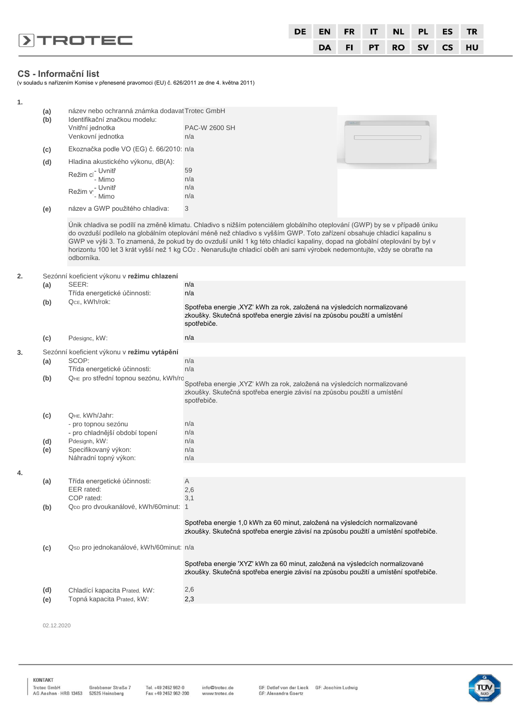|                         | DE EN FR IT NL PL ES TR |  |  |                      |  |
|-------------------------|-------------------------|--|--|----------------------|--|
| $\triangleright$ TROTEC |                         |  |  | DA FI PT RO SV CS HU |  |

# **CS - Informační list**

(v souladu s nařízením Komise v přenesené pravomoci (EU) č. 626/2011 ze dne 4. května 2011)

| 1. |            |                                                                                                                           |                                                                                                                                                                                                                                                                                                                                                                                                                                                                                                               |  |  |  |  |  |
|----|------------|---------------------------------------------------------------------------------------------------------------------------|---------------------------------------------------------------------------------------------------------------------------------------------------------------------------------------------------------------------------------------------------------------------------------------------------------------------------------------------------------------------------------------------------------------------------------------------------------------------------------------------------------------|--|--|--|--|--|
|    | (a)<br>(b) | název nebo ochranná známka dodavat Trotec GmbH<br>Identifikační značkou modelu:<br>Vnitřní jednotka                       | PAC-W 2600 SH                                                                                                                                                                                                                                                                                                                                                                                                                                                                                                 |  |  |  |  |  |
|    |            | Venkovní jednotka                                                                                                         | n/a                                                                                                                                                                                                                                                                                                                                                                                                                                                                                                           |  |  |  |  |  |
|    | (c)        | Ekoznačka podle VO (EG) č. 66/2010: n/a                                                                                   |                                                                                                                                                                                                                                                                                                                                                                                                                                                                                                               |  |  |  |  |  |
|    | (d)        | Hladina akustického výkonu, dB(A):<br>Režim c <sup>- Uvnitř</sup><br>- Mimo<br><sub>.</sub> - Uvnitř<br>Režim v<br>- Mimo | 59<br>n/a<br>n/a<br>n/a                                                                                                                                                                                                                                                                                                                                                                                                                                                                                       |  |  |  |  |  |
|    | (e)        | název a GWP použitého chladiva:                                                                                           | 3                                                                                                                                                                                                                                                                                                                                                                                                                                                                                                             |  |  |  |  |  |
|    |            | odborníka.                                                                                                                | Unik chladiva se podílí na změně klimatu. Chladivo s nižším potenciálem globálního oteplování (GWP) by se v případě úniku<br>do ovzduší podílelo na globálním oteplování méně než chladivo s vyšším GWP. Toto zařízení obsahuje chladicí kapalinu s<br>GWP ve výši 3. To znamená, že pokud by do ovzduší unikl 1 kg této chladicí kapaliny, dopad na globální oteplování by byl v<br>horizontu 100 let 3 krát vyšší než 1 kg CO2. Nenarušujte chladicí oběh ani sami výrobek nedemontujte, vždy se obraťte na |  |  |  |  |  |
| 2. |            | Sezónní koeficient výkonu v režimu chlazení                                                                               |                                                                                                                                                                                                                                                                                                                                                                                                                                                                                                               |  |  |  |  |  |
|    | (a)        | SEER:<br>Třída energetické účinnosti:                                                                                     | n/a<br>n/a                                                                                                                                                                                                                                                                                                                                                                                                                                                                                                    |  |  |  |  |  |
|    | (b)        | QCE, kWh/rok:                                                                                                             | Spotřeba energie "XYZ' kWh za rok, založená na výsledcích normalizované<br>zkoušky. Skutečná spotřeba energie závisí na způsobu použití a umístění<br>spotřebiče.                                                                                                                                                                                                                                                                                                                                             |  |  |  |  |  |
|    | (c)        | Pdesignc, kW:                                                                                                             | n/a                                                                                                                                                                                                                                                                                                                                                                                                                                                                                                           |  |  |  |  |  |
| 3. |            | Sezónní koeficient výkonu v režimu vytápění                                                                               |                                                                                                                                                                                                                                                                                                                                                                                                                                                                                                               |  |  |  |  |  |
|    | (a)        | SCOP:<br>Třída energetické účinnosti:                                                                                     | n/a<br>n/a                                                                                                                                                                                                                                                                                                                                                                                                                                                                                                    |  |  |  |  |  |
|    | (b)        | QHE pro střední topnou sezónu, kWh/rc                                                                                     | Spotřeba energie "XYZ' kWh za rok, založená na výsledcích normalizované<br>zkoušky. Skutečná spotřeba energie závisí na způsobu použití a umístění<br>spotřebiče.                                                                                                                                                                                                                                                                                                                                             |  |  |  |  |  |
|    | (c)        | QHE, kWh/Jahr:<br>- pro topnou sezónu<br>- pro chladnější období topení                                                   | n/a<br>n/a                                                                                                                                                                                                                                                                                                                                                                                                                                                                                                    |  |  |  |  |  |
|    | (d)<br>(e) | Pdesignh, kW:<br>Specifikovaný výkon:<br>Náhradní topný výkon:                                                            | n/a<br>n/a<br>n/a                                                                                                                                                                                                                                                                                                                                                                                                                                                                                             |  |  |  |  |  |
| 4. |            |                                                                                                                           |                                                                                                                                                                                                                                                                                                                                                                                                                                                                                                               |  |  |  |  |  |
|    | (a)<br>(b) | Třída energetické účinnosti:<br>EER rated:<br>COP rated:<br>QDD pro dvoukanálové, kWh/60minut:                            | Α<br>2,6<br>3,1<br>$\overline{1}$                                                                                                                                                                                                                                                                                                                                                                                                                                                                             |  |  |  |  |  |
|    |            |                                                                                                                           | Spotřeba energie 1,0 kWh za 60 minut, založená na výsledcích normalizované<br>zkoušky. Skutečná spotřeba energie závisí na způsobu použití a umístění spotřebiče.                                                                                                                                                                                                                                                                                                                                             |  |  |  |  |  |
|    | (c)        | Qsp pro jednokanálové, kWh/60minut: n/a                                                                                   |                                                                                                                                                                                                                                                                                                                                                                                                                                                                                                               |  |  |  |  |  |
|    |            |                                                                                                                           | Spotřeba energie 'XYZ' kWh za 60 minut, založená na výsledcích normalizované<br>zkoušky. Skutečná spotřeba energie závisí na způsobu použití a umístění spotřebiče.                                                                                                                                                                                                                                                                                                                                           |  |  |  |  |  |
|    | (d)<br>(e) | Chladící kapacita Prated, kW:<br>Topná kapacita Prated, kW:                                                               | 2,6<br>2,3                                                                                                                                                                                                                                                                                                                                                                                                                                                                                                    |  |  |  |  |  |
|    |            |                                                                                                                           |                                                                                                                                                                                                                                                                                                                                                                                                                                                                                                               |  |  |  |  |  |

02.12.2020

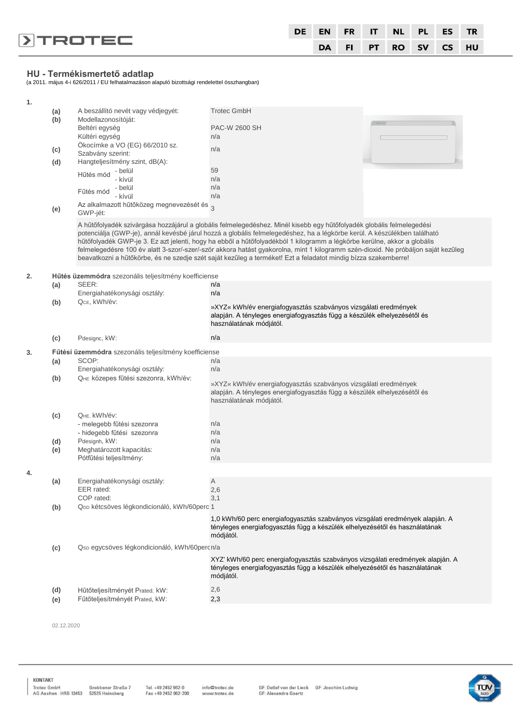|                |  |  | DE EN FRIT NL PL ES TR |  |
|----------------|--|--|------------------------|--|
| <b>DIROTEC</b> |  |  | DA FI PT RO SV CS HU   |  |

**HU - Termékismertető adatlap** (a 2011. május 4-i 626/2011 / EU felhatalmazáson alapuló bizottsági rendelettel összhangban)

| 1. |     |                                                       |                                                                                                                                                                                                                                                                                                                                                                                                                                                                                                                                                                                                                                     |
|----|-----|-------------------------------------------------------|-------------------------------------------------------------------------------------------------------------------------------------------------------------------------------------------------------------------------------------------------------------------------------------------------------------------------------------------------------------------------------------------------------------------------------------------------------------------------------------------------------------------------------------------------------------------------------------------------------------------------------------|
|    | (a) | A beszállító nevét vagy védjegyét:                    | <b>Trotec GmbH</b>                                                                                                                                                                                                                                                                                                                                                                                                                                                                                                                                                                                                                  |
|    | (b) | Modellazonosítóját:                                   |                                                                                                                                                                                                                                                                                                                                                                                                                                                                                                                                                                                                                                     |
|    |     | Beltéri egység                                        | <b>PAC-W 2600 SH</b>                                                                                                                                                                                                                                                                                                                                                                                                                                                                                                                                                                                                                |
|    |     | Kültéri egység<br>Ökocímke a VO (EG) 66/2010 sz.      | n/a                                                                                                                                                                                                                                                                                                                                                                                                                                                                                                                                                                                                                                 |
|    | (c) | Szabvány szerint:                                     | n/a                                                                                                                                                                                                                                                                                                                                                                                                                                                                                                                                                                                                                                 |
|    | (d) | Hangteljesítmény szint, dB(A):                        |                                                                                                                                                                                                                                                                                                                                                                                                                                                                                                                                                                                                                                     |
|    |     | - belül<br>Hűtés mód                                  | 59                                                                                                                                                                                                                                                                                                                                                                                                                                                                                                                                                                                                                                  |
|    |     | - kívül                                               | n/a                                                                                                                                                                                                                                                                                                                                                                                                                                                                                                                                                                                                                                 |
|    |     | - belül<br>Fűtés mód<br>- kívül                       | n/a<br>n/a                                                                                                                                                                                                                                                                                                                                                                                                                                                                                                                                                                                                                          |
|    |     | Az alkalmazott hűtőközeg megnevezését és 3            |                                                                                                                                                                                                                                                                                                                                                                                                                                                                                                                                                                                                                                     |
|    | (e) | GWP-jét:                                              |                                                                                                                                                                                                                                                                                                                                                                                                                                                                                                                                                                                                                                     |
|    |     |                                                       | A hűtőfolyadék szivárgása hozzájárul a globális felmelegedéshez. Minél kisebb egy hűtőfolyadék globális felmelegedési<br>potenciálja (GWP-je), annál kevésbé járul hozzá a globális felmelegedéshez, ha a légkörbe kerül. A készülékben található<br>hűtőfolyadék GWP-je 3. Ez azt jelenti, hogy ha ebből a hűtőfolyadékból 1 kilogramm a légkörbe kerülne, akkor a globális<br>felmelegedésre 100 év alatt 3-szor/-szer/-ször akkora hatást gyakorolna, mint 1 kilogramm szén-dioxid. Ne próbáljon saját kezűleg<br>beavatkozni a hűtőkörbe, és ne szedje szét saját kezűleg a terméket! Ezt a feladatot mindig bízza szakemberre! |
| 2. |     | Hűtés üzemmódra szezonális teljesítmény koefficiense  |                                                                                                                                                                                                                                                                                                                                                                                                                                                                                                                                                                                                                                     |
|    | (a) | SEER:                                                 | n/a                                                                                                                                                                                                                                                                                                                                                                                                                                                                                                                                                                                                                                 |
|    |     | Energiahatékonysági osztály:                          | n/a                                                                                                                                                                                                                                                                                                                                                                                                                                                                                                                                                                                                                                 |
|    | (b) | QCE, kWh/év:                                          | »XYZ« kWh/év energiafogyasztás szabványos vizsgálati eredmények                                                                                                                                                                                                                                                                                                                                                                                                                                                                                                                                                                     |
|    |     |                                                       | alapján. A tényleges energiafogyasztás függ a készülék elhelyezésétől és<br>használatának módjától.                                                                                                                                                                                                                                                                                                                                                                                                                                                                                                                                 |
|    | (c) | Pdesignc, kW:                                         | n/a                                                                                                                                                                                                                                                                                                                                                                                                                                                                                                                                                                                                                                 |
| 3. |     | Fűtési üzemmódra szezonális teljesítmény koefficiense |                                                                                                                                                                                                                                                                                                                                                                                                                                                                                                                                                                                                                                     |
|    | (a) | SCOP:                                                 | n/a                                                                                                                                                                                                                                                                                                                                                                                                                                                                                                                                                                                                                                 |
|    |     | Energiahatékonysági osztály:                          | n/a                                                                                                                                                                                                                                                                                                                                                                                                                                                                                                                                                                                                                                 |
|    | (b) | QHE közepes fűtési szezonra, kWh/év:                  | »XYZ« kWh/év energiafogyasztás szabványos vizsgálati eredmények<br>alapján. A tényleges energiafogyasztás függ a készülék elhelyezésétől és<br>használatának módjától.                                                                                                                                                                                                                                                                                                                                                                                                                                                              |
|    | (c) | QHE, kWh/év:                                          |                                                                                                                                                                                                                                                                                                                                                                                                                                                                                                                                                                                                                                     |
|    |     | - melegebb fűtési szezonra                            | n/a                                                                                                                                                                                                                                                                                                                                                                                                                                                                                                                                                                                                                                 |
|    |     | - hidegebb fűtési szezonra                            | n/a                                                                                                                                                                                                                                                                                                                                                                                                                                                                                                                                                                                                                                 |
|    | (d) | Pdesignh, kW:                                         | n/a                                                                                                                                                                                                                                                                                                                                                                                                                                                                                                                                                                                                                                 |
|    | (e) | Meghatározott kapacitás:<br>Pótfűtési teljesítmény:   | n/a<br>n/a                                                                                                                                                                                                                                                                                                                                                                                                                                                                                                                                                                                                                          |
|    |     |                                                       |                                                                                                                                                                                                                                                                                                                                                                                                                                                                                                                                                                                                                                     |
| 4. |     |                                                       |                                                                                                                                                                                                                                                                                                                                                                                                                                                                                                                                                                                                                                     |
|    | (a) | Energiahatékonysági osztály:<br>EER rated:            | Α                                                                                                                                                                                                                                                                                                                                                                                                                                                                                                                                                                                                                                   |
|    |     | COP rated:                                            | 2,6<br>3,1                                                                                                                                                                                                                                                                                                                                                                                                                                                                                                                                                                                                                          |
|    | (b) | QDD kétcsöves légkondicionáló, kWh/60perc 1           |                                                                                                                                                                                                                                                                                                                                                                                                                                                                                                                                                                                                                                     |
|    |     |                                                       | 1,0 kWh/60 perc energiafogyasztás szabványos vizsgálati eredmények alapján. A<br>tényleges energiafogyasztás függ a készülék elhelyezésétől és használatának<br>módjától.                                                                                                                                                                                                                                                                                                                                                                                                                                                           |
|    | (c) | Qsp egycsöves légkondicionáló, kWh/60percn/a          |                                                                                                                                                                                                                                                                                                                                                                                                                                                                                                                                                                                                                                     |
|    |     |                                                       | XYZ' kWh/60 perc energiafogyasztás szabványos vizsgálati eredmények alapján. A<br>tényleges energiafogyasztás függ a készülék elhelyezésétől és használatának<br>módjától.                                                                                                                                                                                                                                                                                                                                                                                                                                                          |
|    | (d) | Hűtőteljesítményét Prated, kW:                        | 2,6                                                                                                                                                                                                                                                                                                                                                                                                                                                                                                                                                                                                                                 |
|    | (e) | Fütőteljesítményét Prated, kW:                        | 2,3                                                                                                                                                                                                                                                                                                                                                                                                                                                                                                                                                                                                                                 |
|    |     |                                                       |                                                                                                                                                                                                                                                                                                                                                                                                                                                                                                                                                                                                                                     |

02.12.2020